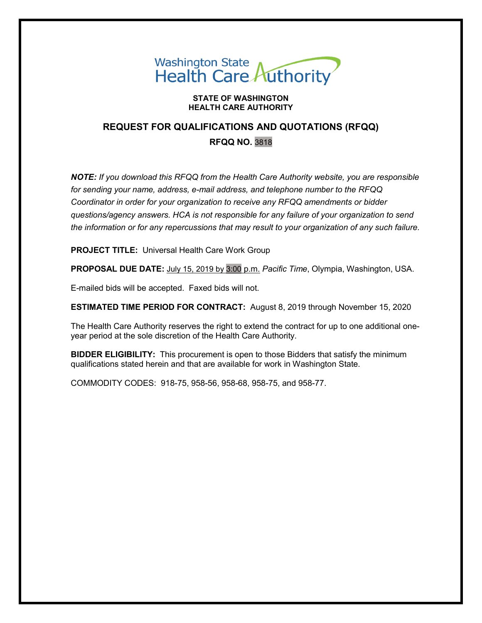# Washington State<br>Health Care Authority

#### **STATE OF WASHINGTON HEALTH CARE AUTHORITY**

# **REQUEST FOR QUALIFICATIONS AND QUOTATIONS (RFQQ) RFQQ NO.** 3818

*NOTE: If you download this RFQQ from the Health Care Authority website, you are responsible for sending your name, address, e-mail address, and telephone number to the RFQQ Coordinator in order for your organization to receive any RFQQ amendments or bidder questions/agency answers. HCA is not responsible for any failure of your organization to send the information or for any repercussions that may result to your organization of any such failure.*

**PROJECT TITLE:** Universal Health Care Work Group

**PROPOSAL DUE DATE:** July 15, 2019 by 3:00 p.m. *Pacific Time*, Olympia, Washington, USA.

E-mailed bids will be accepted. Faxed bids will not.

**ESTIMATED TIME PERIOD FOR CONTRACT:** August 8, 2019 through November 15, 2020

The Health Care Authority reserves the right to extend the contract for up to one additional oneyear period at the sole discretion of the Health Care Authority.

**BIDDER ELIGIBILITY:** This procurement is open to those Bidders that satisfy the minimum qualifications stated herein and that are available for work in Washington State.

COMMODITY CODES: 918-75, 958-56, 958-68, 958-75, and 958-77.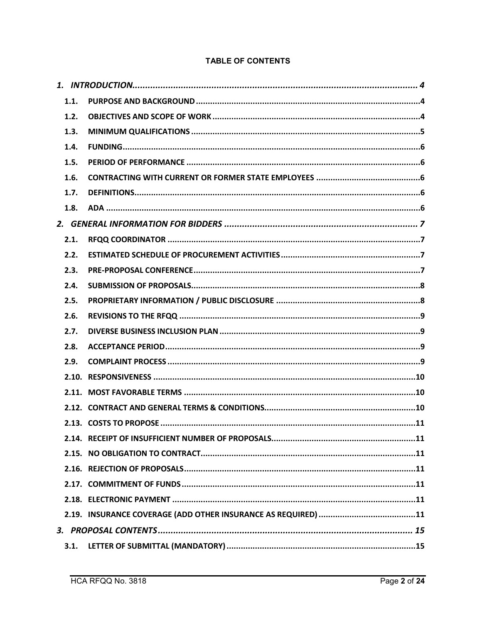#### **TABLE OF CONTENTS**

| 1.1. |  |
|------|--|
| 1.2. |  |
| 1.3. |  |
| 1.4. |  |
| 1.5. |  |
| 1.6. |  |
| 1.7. |  |
| 1.8. |  |
|      |  |
| 2.1. |  |
| 2.2. |  |
| 2.3. |  |
| 2.4. |  |
| 2.5. |  |
| 2.6. |  |
| 2.7. |  |
| 2.8. |  |
| 2.9. |  |
|      |  |
|      |  |
|      |  |
|      |  |
|      |  |
|      |  |
|      |  |
|      |  |
|      |  |
|      |  |
|      |  |
| 3.1. |  |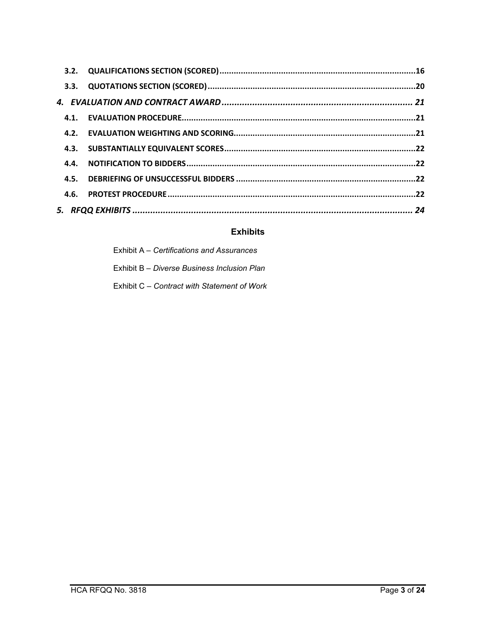| 3.3. |  |
|------|--|
|      |  |
|      |  |
|      |  |
| 4.3. |  |
| 4.4. |  |
|      |  |
|      |  |
|      |  |

# **Exhibits**

| Exhibit A – Certifications and Assurances   |
|---------------------------------------------|
| Exhibit B – Diverse Business Inclusion Plan |
| Exhibit C – Contract with Statement of Work |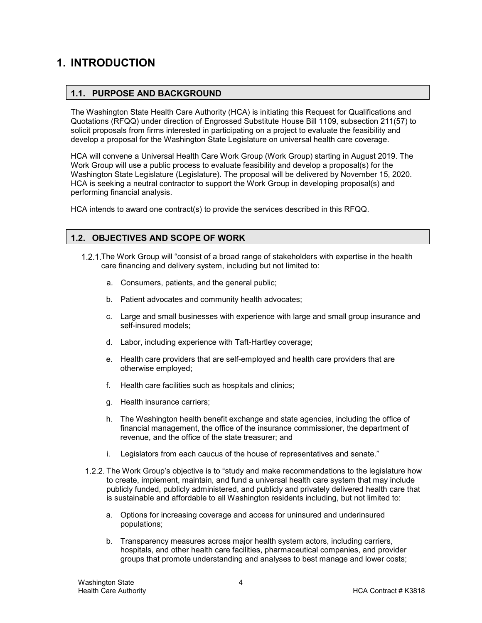# <span id="page-3-1"></span><span id="page-3-0"></span>**1. INTRODUCTION**

#### **1.1. PURPOSE AND BACKGROUND**

The Washington State Health Care Authority (HCA) is initiating this Request for Qualifications and Quotations (RFQQ) under direction of Engrossed Substitute House Bill 1109, subsection 211(57) to solicit proposals from firms interested in participating on a project to evaluate the feasibility and develop a proposal for the Washington State Legislature on universal health care coverage.

HCA will convene a Universal Health Care Work Group (Work Group) starting in August 2019. The Work Group will use a public process to evaluate feasibility and develop a proposal(s) for the Washington State Legislature (Legislature). The proposal will be delivered by November 15, 2020. HCA is seeking a neutral contractor to support the Work Group in developing proposal(s) and performing financial analysis.

HCA intends to award one contract(s) to provide the services described in this RFQQ.

#### <span id="page-3-2"></span>**1.2. OBJECTIVES AND SCOPE OF WORK**

- The Work Group will "consist of a broad range of stakeholders with expertise in the health care financing and delivery system, including but not limited to:
	- a. Consumers, patients, and the general public;
	- b. Patient advocates and community health advocates;
	- c. Large and small businesses with experience with large and small group insurance and self-insured models;
	- d. Labor, including experience with Taft-Hartley coverage;
	- e. Health care providers that are self-employed and health care providers that are otherwise employed;
	- f. Health care facilities such as hospitals and clinics;
	- g. Health insurance carriers;
	- h. The Washington health benefit exchange and state agencies, including the office of financial management, the office of the insurance commissioner, the department of revenue, and the office of the state treasurer; and
	- i. Legislators from each caucus of the house of representatives and senate."
	- 1.2.2. The Work Group's objective is to "study and make recommendations to the legislature how to create, implement, maintain, and fund a universal health care system that may include publicly funded, publicly administered, and publicly and privately delivered health care that is sustainable and affordable to all Washington residents including, but not limited to:
		- a. Options for increasing coverage and access for uninsured and underinsured populations;
		- b. Transparency measures across major health system actors, including carriers, hospitals, and other health care facilities, pharmaceutical companies, and provider groups that promote understanding and analyses to best manage and lower costs;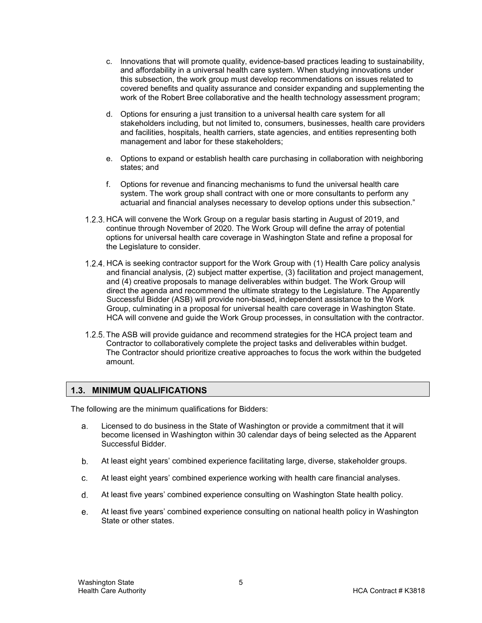- c. Innovations that will promote quality, evidence-based practices leading to sustainability, and affordability in a universal health care system. When studying innovations under this subsection, the work group must develop recommendations on issues related to covered benefits and quality assurance and consider expanding and supplementing the work of the Robert Bree collaborative and the health technology assessment program;
- d. Options for ensuring a just transition to a universal health care system for all stakeholders including, but not limited to, consumers, businesses, health care providers and facilities, hospitals, health carriers, state agencies, and entities representing both management and labor for these stakeholders;
- e. Options to expand or establish health care purchasing in collaboration with neighboring states; and
- f. Options for revenue and financing mechanisms to fund the universal health care system. The work group shall contract with one or more consultants to perform any actuarial and financial analyses necessary to develop options under this subsection."
- 1.2.3. HCA will convene the Work Group on a regular basis starting in August of 2019, and continue through November of 2020. The Work Group will define the array of potential options for universal health care coverage in Washington State and refine a proposal for the Legislature to consider.
- 1.2.4. HCA is seeking contractor support for the Work Group with (1) Health Care policy analysis and financial analysis, (2) subject matter expertise, (3) facilitation and project management, and (4) creative proposals to manage deliverables within budget. The Work Group will direct the agenda and recommend the ultimate strategy to the Legislature. The Apparently Successful Bidder (ASB) will provide non-biased, independent assistance to the Work Group, culminating in a proposal for universal health care coverage in Washington State. HCA will convene and guide the Work Group processes, in consultation with the contractor.
- 1.2.5. The ASB will provide guidance and recommend strategies for the HCA project team and Contractor to collaboratively complete the project tasks and deliverables within budget. The Contractor should prioritize creative approaches to focus the work within the budgeted amount.

#### <span id="page-4-0"></span>**1.3. MINIMUM QUALIFICATIONS**

The following are the minimum qualifications for Bidders:

- Licensed to do business in the State of Washington or provide a commitment that it will a. become licensed in Washington within 30 calendar days of being selected as the Apparent Successful Bidder.
- $b_{1}$ At least eight years' combined experience facilitating large, diverse, stakeholder groups.
- C. At least eight years' combined experience working with health care financial analyses.
- d. At least five years' combined experience consulting on Washington State health policy.
- At least five years' combined experience consulting on national health policy in Washington e. State or other states.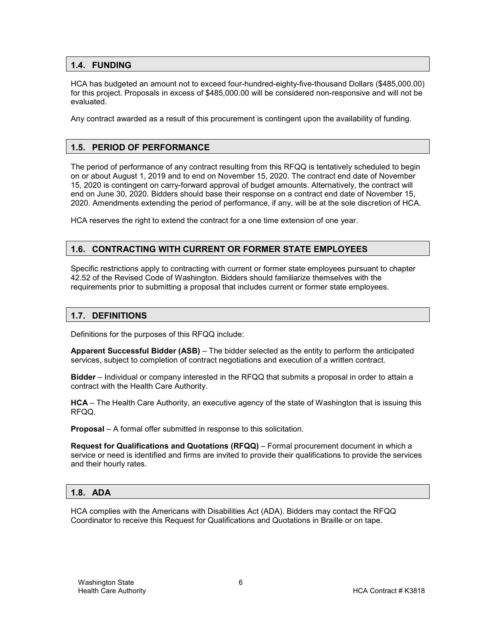#### <span id="page-5-0"></span>**1.4. FUNDING**

HCA has budgeted an amount not to exceed four-hundred-eighty-five-thousand Dollars (\$485,000.00) for this project. Proposals in excess of \$485,000.00 will be considered non-responsive and will not be evaluated.

Any contract awarded as a result of this procurement is contingent upon the availability of funding.

#### <span id="page-5-1"></span>**1.5. PERIOD OF PERFORMANCE**

The period of performance of any contract resulting from this RFQQ is tentatively scheduled to begin on or about August 1, 2019 and to end on November 15, 2020. The contract end date of November 15, 2020 is contingent on carry-forward approval of budget amounts. Alternatively, the contract will end on June 30, 2020. Bidders should base their response on a contract end date of November 15, 2020. Amendments extending the period of performance, if any, will be at the sole discretion of HCA.

HCA reserves the right to extend the contract for a one time extension of one year.

#### <span id="page-5-2"></span>**1.6. CONTRACTING WITH CURRENT OR FORMER STATE EMPLOYEES**

Specific restrictions apply to contracting with current or former state employees pursuant to chapter 42.52 of the Revised Code of Washington. Bidders should familiarize themselves with the requirements prior to submitting a proposal that includes current or former state employees.

#### <span id="page-5-3"></span>**1.7. DEFINITIONS**

Definitions for the purposes of this RFQQ include:

**Apparent Successful Bidder (ASB)** – The bidder selected as the entity to perform the anticipated services, subject to completion of contract negotiations and execution of a written contract.

**Bidder** – Individual or company interested in the RFQQ that submits a proposal in order to attain a contract with the Health Care Authority.

**HCA** – The Health Care Authority, an executive agency of the state of Washington that is issuing this RFQQ.

**Proposal** – A formal offer submitted in response to this solicitation.

**Request for Qualifications and Quotations (RFQQ)** – Formal procurement document in which a service or need is identified and firms are invited to provide their qualifications to provide the services and their hourly rates.

#### <span id="page-5-4"></span>**1.8. ADA**

HCA complies with the Americans with Disabilities Act (ADA). Bidders may contact the RFQQ Coordinator to receive this Request for Qualifications and Quotations in Braille or on tape.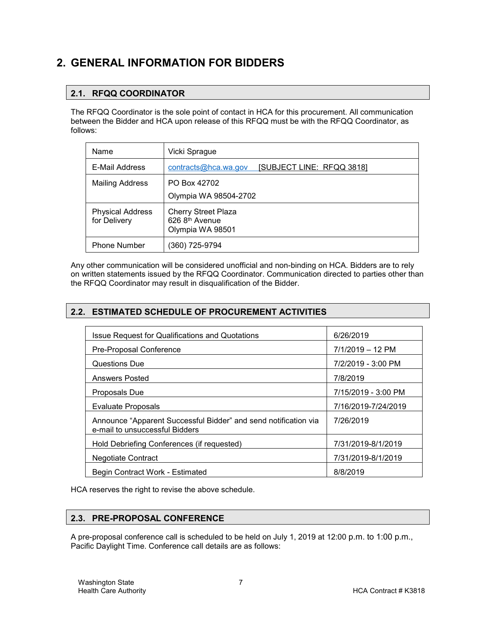# <span id="page-6-1"></span><span id="page-6-0"></span>**2. GENERAL INFORMATION FOR BIDDERS**

## **2.1. RFQQ COORDINATOR**

The RFQQ Coordinator is the sole point of contact in HCA for this procurement. All communication between the Bidder and HCA upon release of this RFQQ must be with the RFQQ Coordinator, as follows:

| Name                                    | Vicki Sprague                                                                |  |
|-----------------------------------------|------------------------------------------------------------------------------|--|
| E-Mail Address                          | [SUBJECT LINE: RFQQ 3818]<br>contracts@hca.wa.gov                            |  |
| <b>Mailing Address</b>                  | PO Box 42702                                                                 |  |
|                                         | Olympia WA 98504-2702                                                        |  |
| <b>Physical Address</b><br>for Delivery | <b>Cherry Street Plaza</b><br>626 8 <sup>th</sup> Avenue<br>Olympia WA 98501 |  |
| Phone Number                            | (360) 725-9794                                                               |  |

Any other communication will be considered unofficial and non-binding on HCA. Bidders are to rely on written statements issued by the RFQQ Coordinator. Communication directed to parties other than the RFQQ Coordinator may result in disqualification of the Bidder.

#### <span id="page-6-2"></span>**2.2. ESTIMATED SCHEDULE OF PROCUREMENT ACTIVITIES**

| <b>Issue Request for Qualifications and Quotations</b>                                            | 6/26/2019           |
|---------------------------------------------------------------------------------------------------|---------------------|
| Pre-Proposal Conference                                                                           | 7/1/2019 - 12 PM    |
| Questions Due                                                                                     | 7/2/2019 - 3:00 PM  |
| <b>Answers Posted</b>                                                                             | 7/8/2019            |
| <b>Proposals Due</b>                                                                              | 7/15/2019 - 3:00 PM |
| <b>Evaluate Proposals</b>                                                                         | 7/16/2019-7/24/2019 |
| Announce "Apparent Successful Bidder" and send notification via<br>e-mail to unsuccessful Bidders | 7/26/2019           |
| Hold Debriefing Conferences (if requested)                                                        | 7/31/2019-8/1/2019  |
| <b>Negotiate Contract</b>                                                                         | 7/31/2019-8/1/2019  |
| Begin Contract Work - Estimated                                                                   | 8/8/2019            |

HCA reserves the right to revise the above schedule.

#### <span id="page-6-3"></span>**2.3. PRE-PROPOSAL CONFERENCE**

A pre-proposal conference call is scheduled to be held on July 1, 2019 at 12:00 p.m. to 1:00 p.m., Pacific Daylight Time. Conference call details are as follows: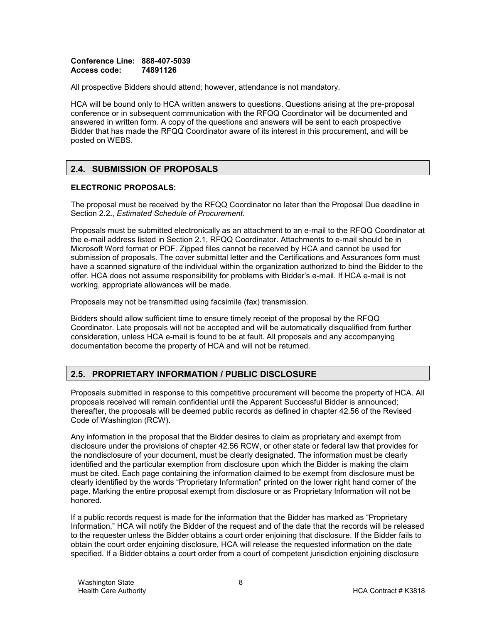#### **Conference Line: 888-407-5039 Access code: 74891126**

All prospective Bidders should attend; however, attendance is not mandatory.

HCA will be bound only to HCA written answers to questions. Questions arising at the pre-proposal conference or in subsequent communication with the RFQQ Coordinator will be documented and answered in written form. A copy of the questions and answers will be sent to each prospective Bidder that has made the RFQQ Coordinator aware of its interest in this procurement, and will be posted on WEBS.

#### <span id="page-7-0"></span>**2.4. SUBMISSION OF PROPOSALS**

#### **ELECTRONIC PROPOSALS:**

The proposal must be received by the RFQQ Coordinator no later than the Proposal Due deadline in Section [2.2](#page-6-2)**.**, *Estimated Schedule of Procurement*.

Proposals must be submitted electronically as an attachment to an e-mail to the RFQQ Coordinator at the e-mail address listed in Section [2.1,](#page-6-1) RFQQ Coordinator. Attachments to e-mail should be in Microsoft Word format or PDF. Zipped files cannot be received by HCA and cannot be used for submission of proposals. The cover submittal letter and the Certifications and Assurances form must have a scanned signature of the individual within the organization authorized to bind the Bidder to the offer. HCA does not assume responsibility for problems with Bidder's e-mail. If HCA e-mail is not working, appropriate allowances will be made.

Proposals may not be transmitted using facsimile (fax) transmission.

Bidders should allow sufficient time to ensure timely receipt of the proposal by the RFQQ Coordinator. Late proposals will not be accepted and will be automatically disqualified from further consideration, unless HCA e-mail is found to be at fault. All proposals and any accompanying documentation become the property of HCA and will not be returned.

#### <span id="page-7-1"></span>**2.5. PROPRIETARY INFORMATION / PUBLIC DISCLOSURE**

Proposals submitted in response to this competitive procurement will become the property of HCA. All proposals received will remain confidential until the Apparent Successful Bidder is announced; thereafter, the proposals will be deemed public records as defined in chapter 42.56 of the Revised Code of Washington (RCW).

Any information in the proposal that the Bidder desires to claim as proprietary and exempt from disclosure under the provisions of chapter 42.56 RCW, or other state or federal law that provides for the nondisclosure of your document, must be clearly designated. The information must be clearly identified and the particular exemption from disclosure upon which the Bidder is making the claim must be cited. Each page containing the information claimed to be exempt from disclosure must be clearly identified by the words "Proprietary Information" printed on the lower right hand corner of the page. Marking the entire proposal exempt from disclosure or as Proprietary Information will not be honored.

If a public records request is made for the information that the Bidder has marked as "Proprietary Information," HCA will notify the Bidder of the request and of the date that the records will be released to the requester unless the Bidder obtains a court order enjoining that disclosure. If the Bidder fails to obtain the court order enjoining disclosure, HCA will release the requested information on the date specified. If a Bidder obtains a court order from a court of competent jurisdiction enjoining disclosure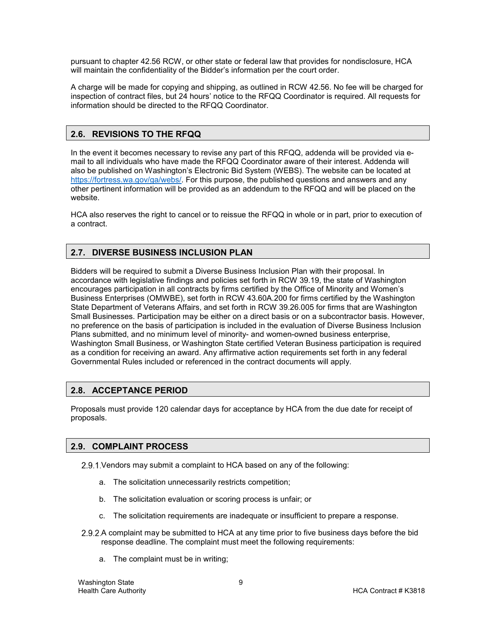pursuant to chapter 42.56 RCW, or other state or federal law that provides for nondisclosure, HCA will maintain the confidentiality of the Bidder's information per the court order.

A charge will be made for copying and shipping, as outlined in RCW 42.56. No fee will be charged for inspection of contract files, but 24 hours' notice to the RFQQ Coordinator is required. All requests for information should be directed to the RFQQ Coordinator.

#### <span id="page-8-0"></span>**2.6. REVISIONS TO THE RFQQ**

In the event it becomes necessary to revise any part of this RFQQ, addenda will be provided via email to all individuals who have made the RFQQ Coordinator aware of their interest. Addenda will also be published on Washington's Electronic Bid System (WEBS). The website can be located at [https://fortress.wa.gov/ga/webs/.](https://fortress.wa.gov/ga/webs/) For this purpose, the published questions and answers and any other pertinent information will be provided as an addendum to the RFQQ and will be placed on the website.

HCA also reserves the right to cancel or to reissue the RFQQ in whole or in part, prior to execution of a contract.

#### <span id="page-8-1"></span>**2.7. DIVERSE BUSINESS INCLUSION PLAN**

Bidders will be required to submit a Diverse Business Inclusion Plan with their proposal. In accordance with legislative findings and policies set forth in RCW 39.19, the state of Washington encourages participation in all contracts by firms certified by the Office of Minority and Women's Business Enterprises (OMWBE), set forth in RCW 43.60A.200 for firms certified by the Washington State Department of Veterans Affairs, and set forth in RCW 39.26.005 for firms that are Washington Small Businesses. Participation may be either on a direct basis or on a subcontractor basis. However, no preference on the basis of participation is included in the evaluation of Diverse Business Inclusion Plans submitted, and no minimum level of minority- and women-owned business enterprise, Washington Small Business, or Washington State certified Veteran Business participation is required as a condition for receiving an award. Any affirmative action requirements set forth in any federal Governmental Rules included or referenced in the contract documents will apply.

#### <span id="page-8-2"></span>**2.8. ACCEPTANCE PERIOD**

Proposals must provide 120 calendar days for acceptance by HCA from the due date for receipt of proposals.

#### <span id="page-8-3"></span>**2.9. COMPLAINT PROCESS**

2.9.1. Vendors may submit a complaint to HCA based on any of the following:

- a. The solicitation unnecessarily restricts competition;
- b. The solicitation evaluation or scoring process is unfair; or
- c. The solicitation requirements are inadequate or insufficient to prepare a response.
- 2.9.2.A complaint may be submitted to HCA at any time prior to five business days before the bid response deadline. The complaint must meet the following requirements:
	- a. The complaint must be in writing;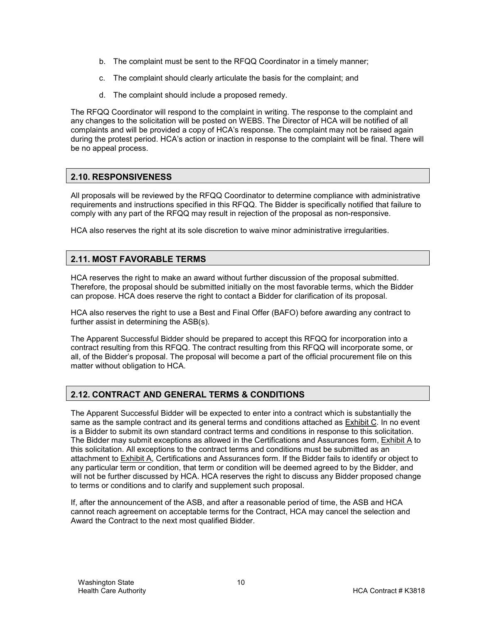- b. The complaint must be sent to the RFQQ Coordinator in a timely manner;
- c. The complaint should clearly articulate the basis for the complaint; and
- d. The complaint should include a proposed remedy.

The RFQQ Coordinator will respond to the complaint in writing. The response to the complaint and any changes to the solicitation will be posted on WEBS. The Director of HCA will be notified of all complaints and will be provided a copy of HCA's response. The complaint may not be raised again during the protest period. HCA's action or inaction in response to the complaint will be final. There will be no appeal process.

#### <span id="page-9-0"></span>**2.10. RESPONSIVENESS**

All proposals will be reviewed by the RFQQ Coordinator to determine compliance with administrative requirements and instructions specified in this RFQQ. The Bidder is specifically notified that failure to comply with any part of the RFQQ may result in rejection of the proposal as non-responsive.

HCA also reserves the right at its sole discretion to waive minor administrative irregularities.

#### <span id="page-9-1"></span>**2.11. MOST FAVORABLE TERMS**

HCA reserves the right to make an award without further discussion of the proposal submitted. Therefore, the proposal should be submitted initially on the most favorable terms, which the Bidder can propose. HCA does reserve the right to contact a Bidder for clarification of its proposal.

HCA also reserves the right to use a Best and Final Offer (BAFO) before awarding any contract to further assist in determining the ASB(s).

The Apparent Successful Bidder should be prepared to accept this RFQQ for incorporation into a contract resulting from this RFQQ. The contract resulting from this RFQQ will incorporate some, or all, of the Bidder's proposal. The proposal will become a part of the official procurement file on this matter without obligation to HCA.

#### <span id="page-9-2"></span>**2.12. CONTRACT AND GENERAL TERMS & CONDITIONS**

The Apparent Successful Bidder will be expected to enter into a contract which is substantially the same as the sample contract and its general terms and conditions attached as Exhibit C. In no event is a Bidder to submit its own standard contract terms and conditions in response to this solicitation. The Bidder may submit exceptions as allowed in the Certifications and Assurances form, Exhibit A to this solicitation. All exceptions to the contract terms and conditions must be submitted as an attachment to Exhibit A, Certifications and Assurances form. If the Bidder fails to identify or object to any particular term or condition, that term or condition will be deemed agreed to by the Bidder, and will not be further discussed by HCA. HCA reserves the right to discuss any Bidder proposed change to terms or conditions and to clarify and supplement such proposal.

If, after the announcement of the ASB, and after a reasonable period of time, the ASB and HCA cannot reach agreement on acceptable terms for the Contract, HCA may cancel the selection and Award the Contract to the next most qualified Bidder.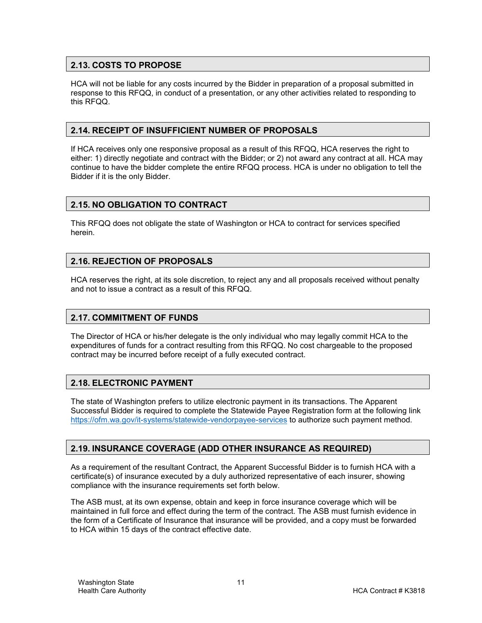#### <span id="page-10-0"></span>**2.13. COSTS TO PROPOSE**

HCA will not be liable for any costs incurred by the Bidder in preparation of a proposal submitted in response to this RFQQ, in conduct of a presentation, or any other activities related to responding to this RFQQ.

#### <span id="page-10-1"></span>**2.14. RECEIPT OF INSUFFICIENT NUMBER OF PROPOSALS**

If HCA receives only one responsive proposal as a result of this RFQQ, HCA reserves the right to either: 1) directly negotiate and contract with the Bidder; or 2) not award any contract at all. HCA may continue to have the bidder complete the entire RFQQ process. HCA is under no obligation to tell the Bidder if it is the only Bidder.

#### <span id="page-10-2"></span>**2.15. NO OBLIGATION TO CONTRACT**

This RFQQ does not obligate the state of Washington or HCA to contract for services specified herein.

#### <span id="page-10-3"></span>**2.16. REJECTION OF PROPOSALS**

HCA reserves the right, at its sole discretion, to reject any and all proposals received without penalty and not to issue a contract as a result of this RFQQ.

#### <span id="page-10-4"></span>**2.17. COMMITMENT OF FUNDS**

The Director of HCA or his/her delegate is the only individual who may legally commit HCA to the expenditures of funds for a contract resulting from this RFQQ. No cost chargeable to the proposed contract may be incurred before receipt of a fully executed contract.

#### <span id="page-10-5"></span>**2.18. ELECTRONIC PAYMENT**

The state of Washington prefers to utilize electronic payment in its transactions. The Apparent Successful Bidder is required to complete the Statewide Payee Registration form at the following link <https://ofm.wa.gov/it-systems/statewide-vendorpayee-services> to authorize such payment method.

#### <span id="page-10-6"></span>**2.19. INSURANCE COVERAGE (ADD OTHER INSURANCE AS REQUIRED)**

As a requirement of the resultant Contract, the Apparent Successful Bidder is to furnish HCA with a certificate(s) of insurance executed by a duly authorized representative of each insurer, showing compliance with the insurance requirements set forth below.

The ASB must, at its own expense, obtain and keep in force insurance coverage which will be maintained in full force and effect during the term of the contract. The ASB must furnish evidence in the form of a Certificate of Insurance that insurance will be provided, and a copy must be forwarded to HCA within 15 days of the contract effective date.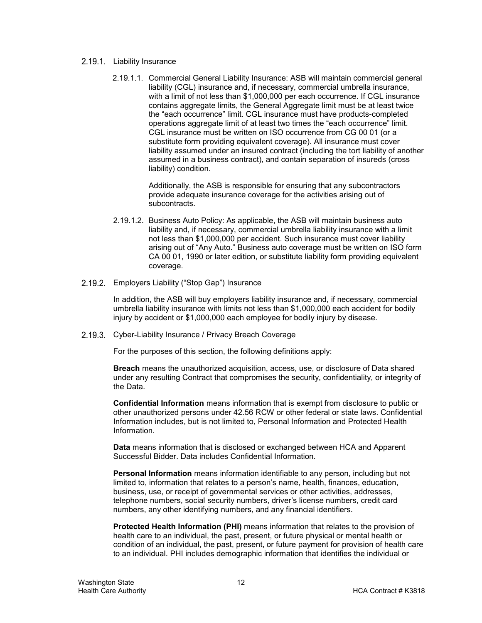- 2.19.1. Liability Insurance
	- 2.19.1.1. Commercial General Liability Insurance: ASB will maintain commercial general liability (CGL) insurance and, if necessary, commercial umbrella insurance, with a limit of not less than \$1,000,000 per each occurrence. If CGL insurance contains aggregate limits, the General Aggregate limit must be at least twice the "each occurrence" limit. CGL insurance must have products-completed operations aggregate limit of at least two times the "each occurrence" limit. CGL insurance must be written on ISO occurrence from CG 00 01 (or a substitute form providing equivalent coverage). All insurance must cover liability assumed under an insured contract (including the tort liability of another assumed in a business contract), and contain separation of insureds (cross liability) condition.

Additionally, the ASB is responsible for ensuring that any subcontractors provide adequate insurance coverage for the activities arising out of subcontracts.

- 2.19.1.2. Business Auto Policy: As applicable, the ASB will maintain business auto liability and, if necessary, commercial umbrella liability insurance with a limit not less than \$1,000,000 per accident. Such insurance must cover liability arising out of "Any Auto." Business auto coverage must be written on ISO form CA 00 01, 1990 or later edition, or substitute liability form providing equivalent coverage.
- 2.19.2. Employers Liability ("Stop Gap") Insurance

In addition, the ASB will buy employers liability insurance and, if necessary, commercial umbrella liability insurance with limits not less than \$1,000,000 each accident for bodily injury by accident or \$1,000,000 each employee for bodily injury by disease.

2.19.3. Cyber-Liability Insurance / Privacy Breach Coverage

For the purposes of this section, the following definitions apply:

**Breach** means the unauthorized acquisition, access, use, or disclosure of Data shared under any resulting Contract that compromises the security, confidentiality, or integrity of the Data.

**Confidential Information** means information that is exempt from disclosure to public or other unauthorized persons under 42.56 RCW or other federal or state laws. Confidential Information includes, but is not limited to, Personal Information and Protected Health Information.

**Data** means information that is disclosed or exchanged between HCA and Apparent Successful Bidder. Data includes Confidential Information.

**Personal Information** means information identifiable to any person, including but not limited to, information that relates to a person's name, health, finances, education, business, use, or receipt of governmental services or other activities, addresses, telephone numbers, social security numbers, driver's license numbers, credit card numbers, any other identifying numbers, and any financial identifiers.

**Protected Health Information (PHI)** means information that relates to the provision of health care to an individual, the past, present, or future physical or mental health or condition of an individual, the past, present, or future payment for provision of health care to an individual. PHI includes demographic information that identifies the individual or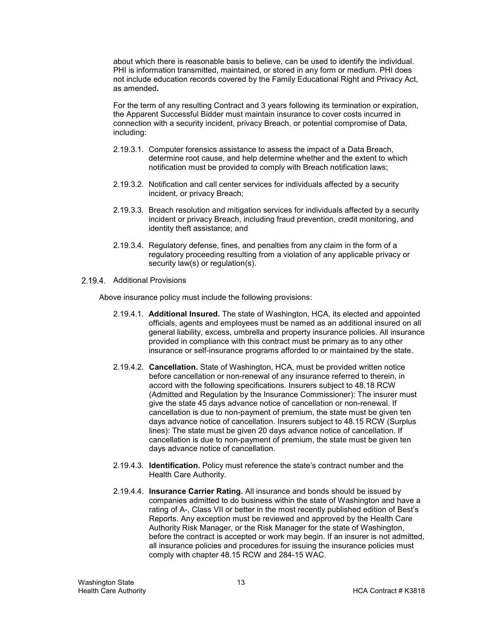about which there is reasonable basis to believe, can be used to identify the individual. PHI is information transmitted, maintained, or stored in any form or medium. PHI does not include education records covered by the Family Educational Right and Privacy Act, as amended**.**

For the term of any resulting Contract and 3 years following its termination or expiration, the Apparent Successful Bidder must maintain insurance to cover costs incurred in connection with a security incident, privacy Breach, or potential compromise of Data, including:

- 2.19.3.1. Computer forensics assistance to assess the impact of a Data Breach, determine root cause, and help determine whether and the extent to which notification must be provided to comply with Breach notification laws;
- 2.19.3.2. Notification and call center services for individuals affected by a security incident, or privacy Breach;
- 2.19.3.3. Breach resolution and mitigation services for individuals affected by a security incident or privacy Breach, including fraud prevention, credit monitoring, and identity theft assistance; and
- 2.19.3.4. Regulatory defense, fines, and penalties from any claim in the form of a regulatory proceeding resulting from a violation of any applicable privacy or security law(s) or regulation(s).
- 2.19.4. Additional Provisions

Above insurance policy must include the following provisions:

- 2.19.4.1. **Additional Insured.** The state of Washington, HCA, its elected and appointed officials, agents and employees must be named as an additional insured on all general liability, excess, umbrella and property insurance policies. All insurance provided in compliance with this contract must be primary as to any other insurance or self-insurance programs afforded to or maintained by the state.
- 2.19.4.2. **Cancellation.** State of Washington, HCA, must be provided written notice before cancellation or non-renewal of any insurance referred to therein, in accord with the following specifications. Insurers subject to 48.18 RCW (Admitted and Regulation by the Insurance Commissioner): The insurer must give the state 45 days advance notice of cancellation or non-renewal. If cancellation is due to non-payment of premium, the state must be given ten days advance notice of cancellation. Insurers subject to 48.15 RCW (Surplus lines): The state must be given 20 days advance notice of cancellation. If cancellation is due to non-payment of premium, the state must be given ten days advance notice of cancellation.
- 2.19.4.3. **Identification.** Policy must reference the state's contract number and the Health Care Authority.
- 2.19.4.4. **Insurance Carrier Rating.** All insurance and bonds should be issued by companies admitted to do business within the state of Washington and have a rating of A-, Class VII or better in the most recently published edition of Best's Reports. Any exception must be reviewed and approved by the Health Care Authority Risk Manager, or the Risk Manager for the state of Washington, before the contract is accepted or work may begin. If an insurer is not admitted, all insurance policies and procedures for issuing the insurance policies must comply with chapter 48.15 RCW and 284-15 WAC.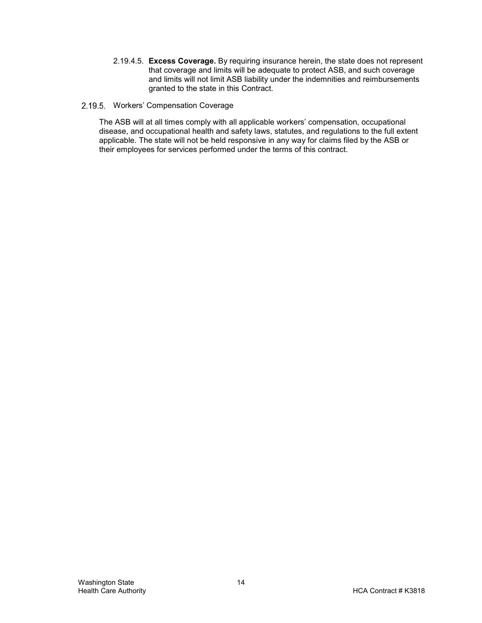2.19.4.5. **Excess Coverage.** By requiring insurance herein, the state does not represent that coverage and limits will be adequate to protect ASB, and such coverage and limits will not limit ASB liability under the indemnities and reimbursements granted to the state in this Contract.

#### 2.19.5. Workers' Compensation Coverage

The ASB will at all times comply with all applicable workers' compensation, occupational disease, and occupational health and safety laws, statutes, and regulations to the full extent applicable. The state will not be held responsive in any way for claims filed by the ASB or their employees for services performed under the terms of this contract.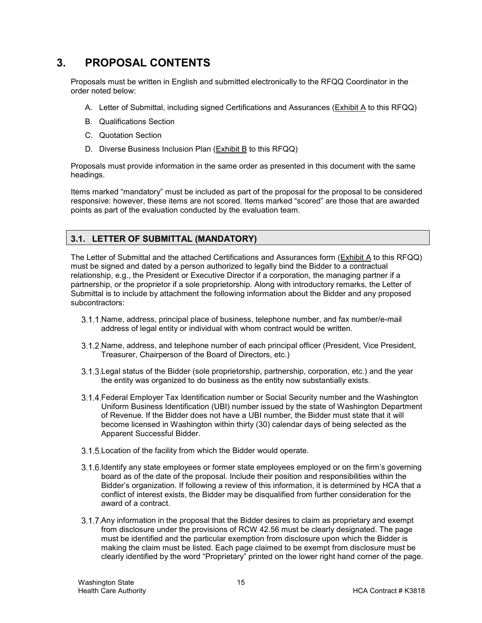# <span id="page-14-0"></span>**3. PROPOSAL CONTENTS**

Proposals must be written in English and submitted electronically to the RFQQ Coordinator in the order noted below:

- A. Letter of Submittal, including signed Certifications and Assurances (Exhibit A to this RFQQ)
- B. Qualifications Section
- C. Quotation Section
- D. Diverse Business Inclusion Plan (Exhibit B to this RFQQ)

Proposals must provide information in the same order as presented in this document with the same headings.

Items marked "mandatory" must be included as part of the proposal for the proposal to be considered responsive: however, these items are not scored. Items marked "scored" are those that are awarded points as part of the evaluation conducted by the evaluation team.

#### <span id="page-14-1"></span>**3.1. LETTER OF SUBMITTAL (MANDATORY)**

The Letter of Submittal and the attached Certifications and Assurances form (Exhibit A to this RFQQ) must be signed and dated by a person authorized to legally bind the Bidder to a contractual relationship, e.g., the President or Executive Director if a corporation, the managing partner if a partnership, or the proprietor if a sole proprietorship. Along with introductory remarks, the Letter of Submittal is to include by attachment the following information about the Bidder and any proposed subcontractors:

- 3.1.1. Name, address, principal place of business, telephone number, and fax number/e-mail address of legal entity or individual with whom contract would be written.
- 3.1.2. Name, address, and telephone number of each principal officer (President, Vice President, Treasurer, Chairperson of the Board of Directors, etc.)
- 3.1.3. Legal status of the Bidder (sole proprietorship, partnership, corporation, etc.) and the year the entity was organized to do business as the entity now substantially exists.
- Federal Employer Tax Identification number or Social Security number and the Washington Uniform Business Identification (UBI) number issued by the state of Washington Department of Revenue. If the Bidder does not have a UBI number, the Bidder must state that it will become licensed in Washington within thirty (30) calendar days of being selected as the Apparent Successful Bidder.
- 3.1.5. Location of the facility from which the Bidder would operate.
- 3.1.6. Identify any state employees or former state employees employed or on the firm's governing board as of the date of the proposal. Include their position and responsibilities within the Bidder's organization. If following a review of this information, it is determined by HCA that a conflict of interest exists, the Bidder may be disqualified from further consideration for the award of a contract.
- 3.1.7. Any information in the proposal that the Bidder desires to claim as proprietary and exempt from disclosure under the provisions of RCW 42.56 must be clearly designated. The page must be identified and the particular exemption from disclosure upon which the Bidder is making the claim must be listed. Each page claimed to be exempt from disclosure must be clearly identified by the word "Proprietary" printed on the lower right hand corner of the page.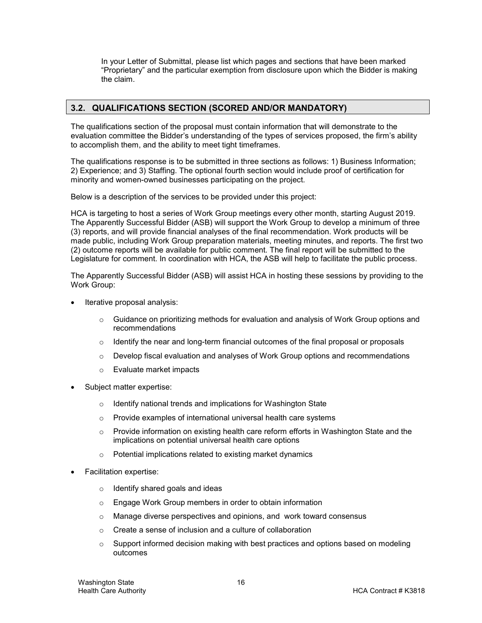In your Letter of Submittal, please list which pages and sections that have been marked "Proprietary" and the particular exemption from disclosure upon which the Bidder is making the claim.

#### <span id="page-15-0"></span>**3.2. QUALIFICATIONS SECTION (SCORED AND/OR MANDATORY)**

The qualifications section of the proposal must contain information that will demonstrate to the evaluation committee the Bidder's understanding of the types of services proposed, the firm's ability to accomplish them, and the ability to meet tight timeframes.

The qualifications response is to be submitted in three sections as follows: 1) Business Information; 2) Experience; and 3) Staffing. The optional fourth section would include proof of certification for minority and women-owned businesses participating on the project.

Below is a description of the services to be provided under this project:

HCA is targeting to host a series of Work Group meetings every other month, starting August 2019. The Apparently Successful Bidder (ASB) will support the Work Group to develop a minimum of three (3) reports, and will provide financial analyses of the final recommendation. Work products will be made public, including Work Group preparation materials, meeting minutes, and reports. The first two (2) outcome reports will be available for public comment. The final report will be submitted to the Legislature for comment. In coordination with HCA, the ASB will help to facilitate the public process.

The Apparently Successful Bidder (ASB) will assist HCA in hosting these sessions by providing to the Work Group:

- Iterative proposal analysis:
	- $\circ$  Guidance on prioritizing methods for evaluation and analysis of Work Group options and recommendations
	- $\circ$  Identify the near and long-term financial outcomes of the final proposal or proposals
	- $\circ$  Develop fiscal evaluation and analyses of Work Group options and recommendations
	- o Evaluate market impacts
- Subject matter expertise:
	- o Identify national trends and implications for Washington State
	- o Provide examples of international universal health care systems
	- $\circ$  Provide information on existing health care reform efforts in Washington State and the implications on potential universal health care options
	- o Potential implications related to existing market dynamics
- Facilitation expertise:
	- $\circ$  Identify shared goals and ideas
	- o Engage Work Group members in order to obtain information
	- o Manage diverse perspectives and opinions, and work toward consensus
	- $\circ$  Create a sense of inclusion and a culture of collaboration
	- $\circ$  Support informed decision making with best practices and options based on modeling outcomes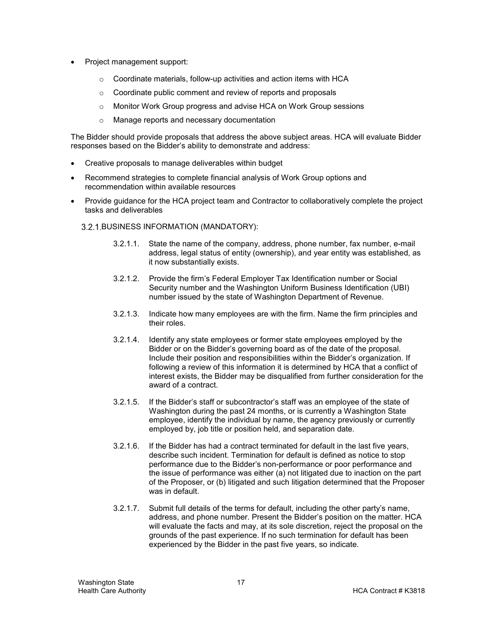- Project management support:
	- o Coordinate materials, follow-up activities and action items with HCA
	- o Coordinate public comment and review of reports and proposals
	- o Monitor Work Group progress and advise HCA on Work Group sessions
	- o Manage reports and necessary documentation

The Bidder should provide proposals that address the above subject areas. HCA will evaluate Bidder responses based on the Bidder's ability to demonstrate and address:

- Creative proposals to manage deliverables within budget
- Recommend strategies to complete financial analysis of Work Group options and recommendation within available resources
- Provide guidance for the HCA project team and Contractor to collaboratively complete the project tasks and deliverables

#### 3.2.1. BUSINESS INFORMATION (MANDATORY):

- 3.2.1.1. State the name of the company, address, phone number, fax number, e-mail address, legal status of entity (ownership), and year entity was established, as it now substantially exists.
- 3.2.1.2. Provide the firm's Federal Employer Tax Identification number or Social Security number and the Washington Uniform Business Identification (UBI) number issued by the state of Washington Department of Revenue.
- 3.2.1.3. Indicate how many employees are with the firm. Name the firm principles and their roles.
- 3.2.1.4. Identify any state employees or former state employees employed by the Bidder or on the Bidder's governing board as of the date of the proposal. Include their position and responsibilities within the Bidder's organization. If following a review of this information it is determined by HCA that a conflict of interest exists, the Bidder may be disqualified from further consideration for the award of a contract.
- 3.2.1.5. If the Bidder's staff or subcontractor's staff was an employee of the state of Washington during the past 24 months, or is currently a Washington State employee, identify the individual by name, the agency previously or currently employed by, job title or position held, and separation date.
- 3.2.1.6. If the Bidder has had a contract terminated for default in the last five years, describe such incident. Termination for default is defined as notice to stop performance due to the Bidder's non-performance or poor performance and the issue of performance was either (a) not litigated due to inaction on the part of the Proposer, or (b) litigated and such litigation determined that the Proposer was in default.
- 3.2.1.7. Submit full details of the terms for default, including the other party's name, address, and phone number. Present the Bidder's position on the matter. HCA will evaluate the facts and may, at its sole discretion, reject the proposal on the grounds of the past experience. If no such termination for default has been experienced by the Bidder in the past five years, so indicate.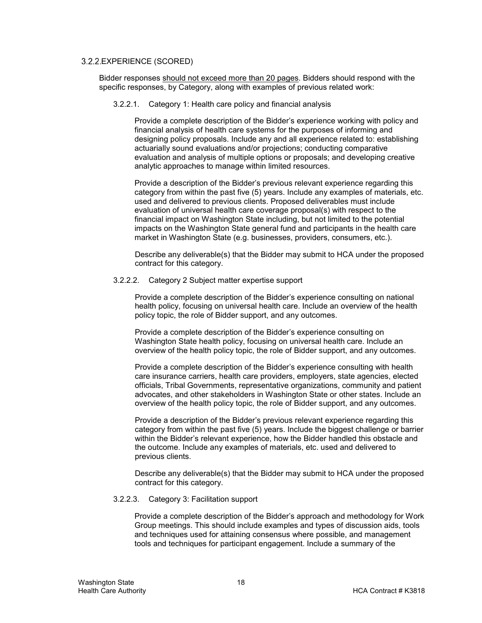#### 3.2.2. EXPERIENCE (SCORED)

Bidder responses should not exceed more than 20 pages. Bidders should respond with the specific responses, by Category, along with examples of previous related work:

#### 3.2.2.1. Category 1: Health care policy and financial analysis

Provide a complete description of the Bidder's experience working with policy and financial analysis of health care systems for the purposes of informing and designing policy proposals. Include any and all experience related to: establishing actuarially sound evaluations and/or projections; conducting comparative evaluation and analysis of multiple options or proposals; and developing creative analytic approaches to manage within limited resources.

Provide a description of the Bidder's previous relevant experience regarding this category from within the past five (5) years. Include any examples of materials, etc. used and delivered to previous clients. Proposed deliverables must include evaluation of universal health care coverage proposal(s) with respect to the financial impact on Washington State including, but not limited to the potential impacts on the Washington State general fund and participants in the health care market in Washington State (e.g. businesses, providers, consumers, etc.).

Describe any deliverable(s) that the Bidder may submit to HCA under the proposed contract for this category.

#### 3.2.2.2. Category 2 Subject matter expertise support

Provide a complete description of the Bidder's experience consulting on national health policy, focusing on universal health care. Include an overview of the health policy topic, the role of Bidder support, and any outcomes.

Provide a complete description of the Bidder's experience consulting on Washington State health policy, focusing on universal health care. Include an overview of the health policy topic, the role of Bidder support, and any outcomes.

Provide a complete description of the Bidder's experience consulting with health care insurance carriers, health care providers, employers, state agencies, elected officials, Tribal Governments, representative organizations, community and patient advocates, and other stakeholders in Washington State or other states. Include an overview of the health policy topic, the role of Bidder support, and any outcomes.

Provide a description of the Bidder's previous relevant experience regarding this category from within the past five (5) years. Include the biggest challenge or barrier within the Bidder's relevant experience, how the Bidder handled this obstacle and the outcome. Include any examples of materials, etc. used and delivered to previous clients.

Describe any deliverable(s) that the Bidder may submit to HCA under the proposed contract for this category.

#### 3.2.2.3. Category 3: Facilitation support

Provide a complete description of the Bidder's approach and methodology for Work Group meetings. This should include examples and types of discussion aids, tools and techniques used for attaining consensus where possible, and management tools and techniques for participant engagement. Include a summary of the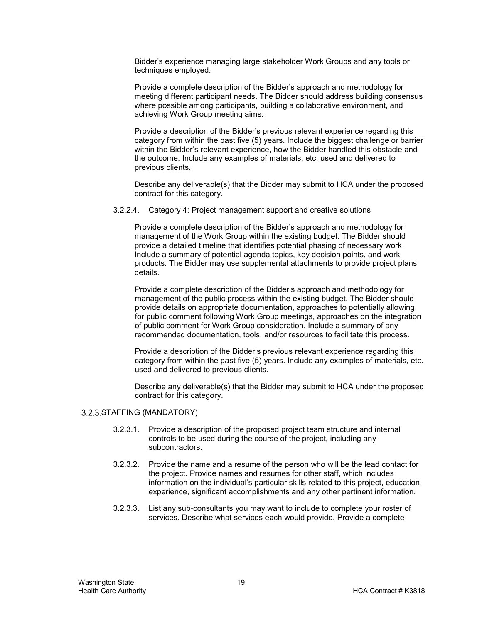Bidder's experience managing large stakeholder Work Groups and any tools or techniques employed.

Provide a complete description of the Bidder's approach and methodology for meeting different participant needs. The Bidder should address building consensus where possible among participants, building a collaborative environment, and achieving Work Group meeting aims.

Provide a description of the Bidder's previous relevant experience regarding this category from within the past five (5) years. Include the biggest challenge or barrier within the Bidder's relevant experience, how the Bidder handled this obstacle and the outcome. Include any examples of materials, etc. used and delivered to previous clients.

Describe any deliverable(s) that the Bidder may submit to HCA under the proposed contract for this category.

3.2.2.4. Category 4: Project management support and creative solutions

Provide a complete description of the Bidder's approach and methodology for management of the Work Group within the existing budget. The Bidder should provide a detailed timeline that identifies potential phasing of necessary work. Include a summary of potential agenda topics, key decision points, and work products. The Bidder may use supplemental attachments to provide project plans details.

Provide a complete description of the Bidder's approach and methodology for management of the public process within the existing budget. The Bidder should provide details on appropriate documentation, approaches to potentially allowing for public comment following Work Group meetings, approaches on the integration of public comment for Work Group consideration. Include a summary of any recommended documentation, tools, and/or resources to facilitate this process.

Provide a description of the Bidder's previous relevant experience regarding this category from within the past five (5) years. Include any examples of materials, etc. used and delivered to previous clients.

Describe any deliverable(s) that the Bidder may submit to HCA under the proposed contract for this category.

#### 3.2.3. STAFFING (MANDATORY)

- 3.2.3.1. Provide a description of the proposed project team structure and internal controls to be used during the course of the project, including any subcontractors.
- 3.2.3.2. Provide the name and a resume of the person who will be the lead contact for the project. Provide names and resumes for other staff, which includes information on the individual's particular skills related to this project, education, experience, significant accomplishments and any other pertinent information.
- 3.2.3.3. List any sub-consultants you may want to include to complete your roster of services. Describe what services each would provide. Provide a complete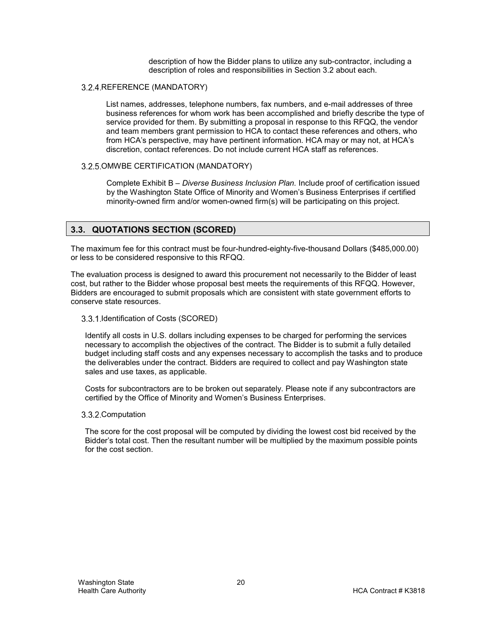description of how the Bidder plans to utilize any sub-contractor, including a description of roles and responsibilities in Section 3.2 about each.

#### 3.2.4. REFERENCE (MANDATORY)

List names, addresses, telephone numbers, fax numbers, and e-mail addresses of three business references for whom work has been accomplished and briefly describe the type of service provided for them. By submitting a proposal in response to this RFQQ, the vendor and team members grant permission to HCA to contact these references and others, who from HCA's perspective, may have pertinent information. HCA may or may not, at HCA's discretion, contact references. Do not include current HCA staff as references.

#### 3.2.5. OMWBE CERTIFICATION (MANDATORY)

Complete Exhibit B – *Diverse Business Inclusion Plan.* Include proof of certification issued by the Washington State Office of Minority and Women's Business Enterprises if certified minority-owned firm and/or women-owned firm(s) will be participating on this project.

#### <span id="page-19-0"></span>**3.3. QUOTATIONS SECTION (SCORED)**

The maximum fee for this contract must be four-hundred-eighty-five-thousand Dollars (\$485,000.00) or less to be considered responsive to this RFQQ.

The evaluation process is designed to award this procurement not necessarily to the Bidder of least cost, but rather to the Bidder whose proposal best meets the requirements of this RFQQ. However, Bidders are encouraged to submit proposals which are consistent with state government efforts to conserve state resources.

#### 3.3.1. Identification of Costs (SCORED)

Identify all costs in U.S. dollars including expenses to be charged for performing the services necessary to accomplish the objectives of the contract. The Bidder is to submit a fully detailed budget including staff costs and any expenses necessary to accomplish the tasks and to produce the deliverables under the contract. Bidders are required to collect and pay Washington state sales and use taxes, as applicable.

Costs for subcontractors are to be broken out separately. Please note if any subcontractors are certified by the Office of Minority and Women's Business Enterprises.

#### 3.3.2.Computation

The score for the cost proposal will be computed by dividing the lowest cost bid received by the Bidder's total cost. Then the resultant number will be multiplied by the maximum possible points for the cost section.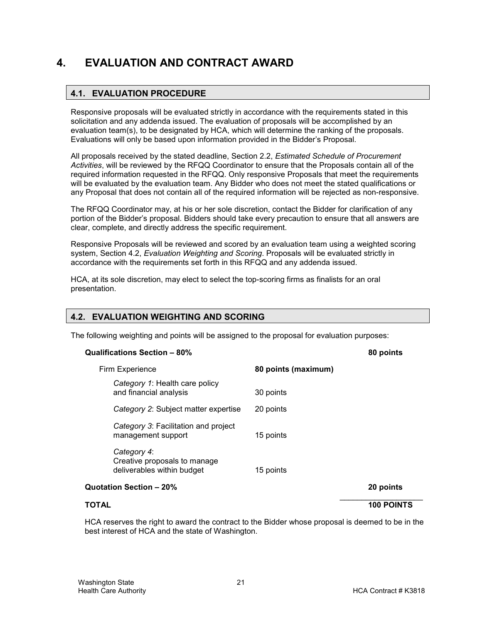# <span id="page-20-1"></span><span id="page-20-0"></span>**4. EVALUATION AND CONTRACT AWARD**

# **4.1. EVALUATION PROCEDURE**

Responsive proposals will be evaluated strictly in accordance with the requirements stated in this solicitation and any addenda issued. The evaluation of proposals will be accomplished by an evaluation team(s), to be designated by HCA, which will determine the ranking of the proposals. Evaluations will only be based upon information provided in the Bidder's Proposal.

All proposals received by the stated deadline, Section 2.2, *Estimated Schedule of Procurement Activities*, will be reviewed by the RFQQ Coordinator to ensure that the Proposals contain all of the required information requested in the RFQQ. Only responsive Proposals that meet the requirements will be evaluated by the evaluation team. Any Bidder who does not meet the stated qualifications or any Proposal that does not contain all of the required information will be rejected as non-responsive.

The RFQQ Coordinator may, at his or her sole discretion, contact the Bidder for clarification of any portion of the Bidder's proposal. Bidders should take every precaution to ensure that all answers are clear, complete, and directly address the specific requirement.

Responsive Proposals will be reviewed and scored by an evaluation team using a weighted scoring system, Section 4.2, *Evaluation Weighting and Scoring*. Proposals will be evaluated strictly in accordance with the requirements set forth in this RFQQ and any addenda issued.

HCA, at its sole discretion, may elect to select the top-scoring firms as finalists for an oral presentation.

#### <span id="page-20-2"></span>**4.2. EVALUATION WEIGHTING AND SCORING**

The following weighting and points will be assigned to the proposal for evaluation purposes:

#### **Qualifications Section – 80% 80 points**

| Firm Experience                                                           | 80 points (maximum) |                   |
|---------------------------------------------------------------------------|---------------------|-------------------|
| Category 1: Health care policy<br>and financial analysis                  | 30 points           |                   |
| Category 2: Subject matter expertise                                      | 20 points           |                   |
| Category 3: Facilitation and project<br>management support                | 15 points           |                   |
| Category 4:<br>Creative proposals to manage<br>deliverables within budget | 15 points           |                   |
| Quotation Section - 20%                                                   |                     | 20 points         |
| TOTAL                                                                     |                     | <b>100 POINTS</b> |

HCA reserves the right to award the contract to the Bidder whose proposal is deemed to be in the best interest of HCA and the state of Washington.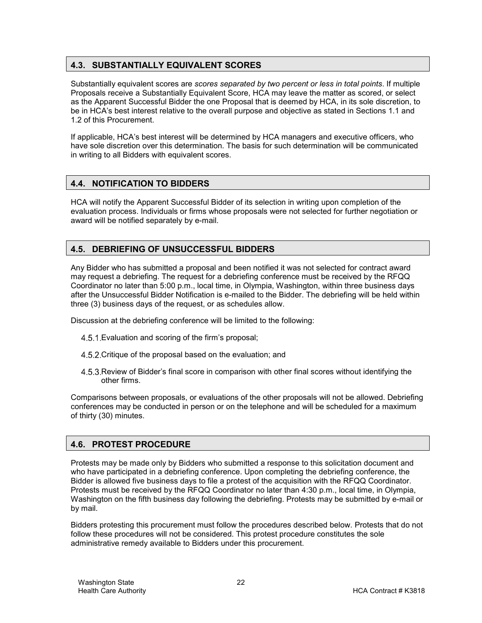#### <span id="page-21-0"></span>**4.3. SUBSTANTIALLY EQUIVALENT SCORES**

Substantially equivalent scores are *scores separated by two percent or less in total points*. If multiple Proposals receive a Substantially Equivalent Score, HCA may leave the matter as scored, or select as the Apparent Successful Bidder the one Proposal that is deemed by HCA, in its sole discretion, to be in HCA's best interest relative to the overall purpose and objective as stated in Sections [1.1](#page-3-1) and [1.2](#page-3-2) of this Procurement.

If applicable, HCA's best interest will be determined by HCA managers and executive officers, who have sole discretion over this determination. The basis for such determination will be communicated in writing to all Bidders with equivalent scores.

#### <span id="page-21-1"></span>**4.4. NOTIFICATION TO BIDDERS**

HCA will notify the Apparent Successful Bidder of its selection in writing upon completion of the evaluation process. Individuals or firms whose proposals were not selected for further negotiation or award will be notified separately by e-mail.

#### <span id="page-21-2"></span>**4.5. DEBRIEFING OF UNSUCCESSFUL BIDDERS**

Any Bidder who has submitted a proposal and been notified it was not selected for contract award may request a debriefing. The request for a debriefing conference must be received by the RFQQ Coordinator no later than 5:00 p.m., local time, in Olympia, Washington, within three business days after the Unsuccessful Bidder Notification is e-mailed to the Bidder. The debriefing will be held within three (3) business days of the request, or as schedules allow.

Discussion at the debriefing conference will be limited to the following:

- Evaluation and scoring of the firm's proposal;
- 4.5.2. Critique of the proposal based on the evaluation; and
- 4.5.3. Review of Bidder's final score in comparison with other final scores without identifying the other firms.

Comparisons between proposals, or evaluations of the other proposals will not be allowed. Debriefing conferences may be conducted in person or on the telephone and will be scheduled for a maximum of thirty (30) minutes.

#### <span id="page-21-3"></span>**4.6. PROTEST PROCEDURE**

Protests may be made only by Bidders who submitted a response to this solicitation document and who have participated in a debriefing conference. Upon completing the debriefing conference, the Bidder is allowed five business days to file a protest of the acquisition with the RFQQ Coordinator. Protests must be received by the RFQQ Coordinator no later than 4:30 p.m., local time, in Olympia, Washington on the fifth business day following the debriefing. Protests may be submitted by e-mail or by mail.

Bidders protesting this procurement must follow the procedures described below. Protests that do not follow these procedures will not be considered. This protest procedure constitutes the sole administrative remedy available to Bidders under this procurement.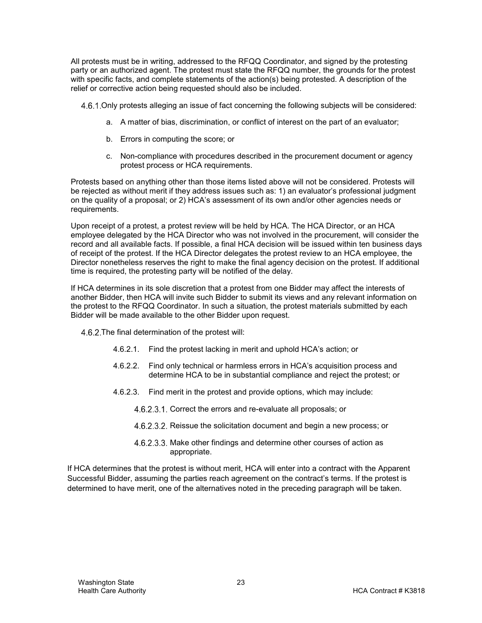All protests must be in writing, addressed to the RFQQ Coordinator, and signed by the protesting party or an authorized agent. The protest must state the RFQQ number, the grounds for the protest with specific facts, and complete statements of the action(s) being protested. A description of the relief or corrective action being requested should also be included.

4.6.1. Only protests alleging an issue of fact concerning the following subjects will be considered:

- a. A matter of bias, discrimination, or conflict of interest on the part of an evaluator;
- b. Errors in computing the score; or
- c. Non-compliance with procedures described in the procurement document or agency protest process or HCA requirements.

Protests based on anything other than those items listed above will not be considered. Protests will be rejected as without merit if they address issues such as: 1) an evaluator's professional judgment on the quality of a proposal; or 2) HCA's assessment of its own and/or other agencies needs or requirements.

Upon receipt of a protest, a protest review will be held by HCA. The HCA Director, or an HCA employee delegated by the HCA Director who was not involved in the procurement, will consider the record and all available facts. If possible, a final HCA decision will be issued within ten business days of receipt of the protest. If the HCA Director delegates the protest review to an HCA employee, the Director nonetheless reserves the right to make the final agency decision on the protest. If additional time is required, the protesting party will be notified of the delay.

If HCA determines in its sole discretion that a protest from one Bidder may affect the interests of another Bidder, then HCA will invite such Bidder to submit its views and any relevant information on the protest to the RFQQ Coordinator. In such a situation, the protest materials submitted by each Bidder will be made available to the other Bidder upon request.

4.6.2. The final determination of the protest will:

- 4.6.2.1. Find the protest lacking in merit and uphold HCA's action; or
- 4.6.2.2. Find only technical or harmless errors in HCA's acquisition process and determine HCA to be in substantial compliance and reject the protest; or
- 4.6.2.3. Find merit in the protest and provide options, which may include:
	- 4.6.2.3.1. Correct the errors and re-evaluate all proposals; or
	- 4.6.2.3.2. Reissue the solicitation document and begin a new process; or
	- 4.6.2.3.3. Make other findings and determine other courses of action as appropriate.

If HCA determines that the protest is without merit, HCA will enter into a contract with the Apparent Successful Bidder, assuming the parties reach agreement on the contract's terms. If the protest is determined to have merit, one of the alternatives noted in the preceding paragraph will be taken.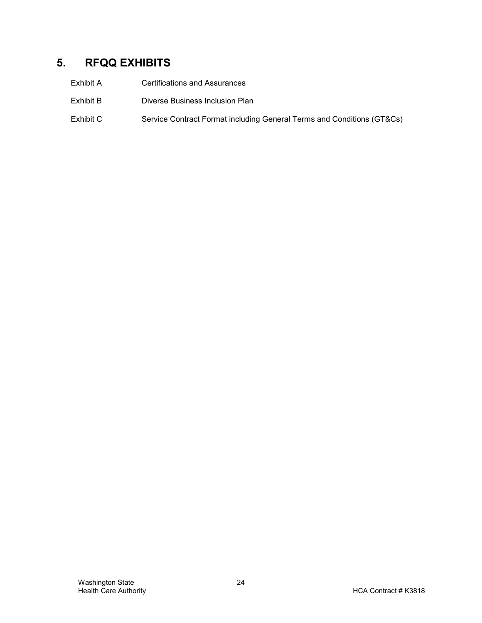# <span id="page-23-0"></span>**5. RFQQ EXHIBITS**

| Exhibit A | <b>Certifications and Assurances</b>                                   |
|-----------|------------------------------------------------------------------------|
| Exhibit B | Diverse Business Inclusion Plan                                        |
| Exhibit C | Service Contract Format including General Terms and Conditions (GT&Cs) |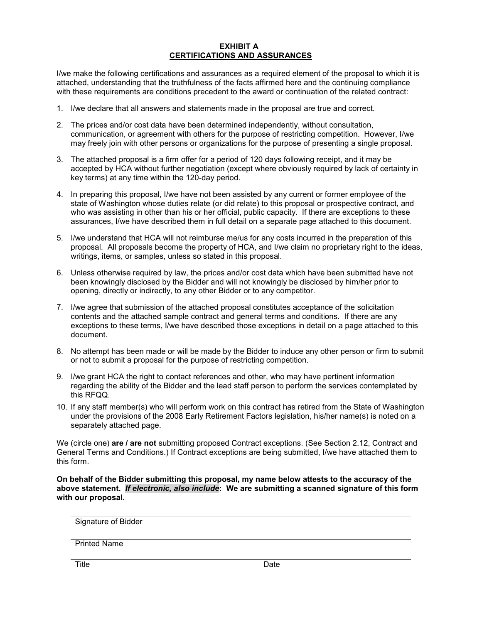#### **EXHIBIT A CERTIFICATIONS AND ASSURANCES**

I/we make the following certifications and assurances as a required element of the proposal to which it is attached, understanding that the truthfulness of the facts affirmed here and the continuing compliance with these requirements are conditions precedent to the award or continuation of the related contract:

- 1. I/we declare that all answers and statements made in the proposal are true and correct.
- 2. The prices and/or cost data have been determined independently, without consultation, communication, or agreement with others for the purpose of restricting competition. However, I/we may freely join with other persons or organizations for the purpose of presenting a single proposal.
- 3. The attached proposal is a firm offer for a period of 120 days following receipt, and it may be accepted by HCA without further negotiation (except where obviously required by lack of certainty in key terms) at any time within the 120-day period.
- 4. In preparing this proposal, I/we have not been assisted by any current or former employee of the state of Washington whose duties relate (or did relate) to this proposal or prospective contract, and who was assisting in other than his or her official, public capacity. If there are exceptions to these assurances, I/we have described them in full detail on a separate page attached to this document.
- 5. I/we understand that HCA will not reimburse me/us for any costs incurred in the preparation of this proposal. All proposals become the property of HCA, and I/we claim no proprietary right to the ideas, writings, items, or samples, unless so stated in this proposal.
- 6. Unless otherwise required by law, the prices and/or cost data which have been submitted have not been knowingly disclosed by the Bidder and will not knowingly be disclosed by him/her prior to opening, directly or indirectly, to any other Bidder or to any competitor.
- 7. I/we agree that submission of the attached proposal constitutes acceptance of the solicitation contents and the attached sample contract and general terms and conditions. If there are any exceptions to these terms, I/we have described those exceptions in detail on a page attached to this document.
- 8. No attempt has been made or will be made by the Bidder to induce any other person or firm to submit or not to submit a proposal for the purpose of restricting competition.
- 9. I/we grant HCA the right to contact references and other, who may have pertinent information regarding the ability of the Bidder and the lead staff person to perform the services contemplated by this RFQQ.
- 10. If any staff member(s) who will perform work on this contract has retired from the State of Washington under the provisions of the 2008 Early Retirement Factors legislation, his/her name(s) is noted on a separately attached page.

We (circle one) **are / are not** submitting proposed Contract exceptions. (See Section 2.12, Contract and General Terms and Conditions.) If Contract exceptions are being submitted, I/we have attached them to this form.

**On behalf of the Bidder submitting this proposal, my name below attests to the accuracy of the above statement.** *If electronic, also include***: We are submitting a scanned signature of this form with our proposal.**

Signature of Bidder

Printed Name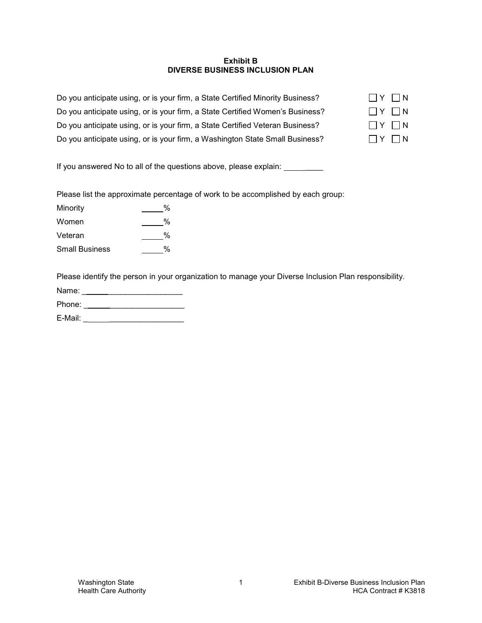#### **Exhibit B DIVERSE BUSINESS INCLUSION PLAN**

| Do you anticipate using, or is your firm, a State Certified Minority Business? | $\Box$ $\vee$ $\Box$ $\wedge$ |  |
|--------------------------------------------------------------------------------|-------------------------------|--|
| Do you anticipate using, or is your firm, a State Certified Women's Business?  | $\Box$ $\Upsilon$ $\Box$ $N$  |  |
| Do you anticipate using, or is your firm, a State Certified Veteran Business?  | $\Box$ $\vee$ $\Box$ $\wedge$ |  |
| Do you anticipate using, or is your firm, a Washington State Small Business?   | $\Box$ $\Upsilon$ $\Box$ $N$  |  |

If you answered No to all of the questions above, please explain: \_\_\_\_\_\_\_\_

Please list the approximate percentage of work to be accomplished by each group:

| Minority              | % |
|-----------------------|---|
| Women                 | % |
| Veteran               | % |
| <b>Small Business</b> | % |

Please identify the person in your organization to manage your Diverse Inclusion Plan responsibility.

| Name:  |  |  |  |
|--------|--|--|--|
| Phone: |  |  |  |

E-Mail: \_ \_\_\_\_\_\_\_\_\_\_\_\_\_\_\_\_\_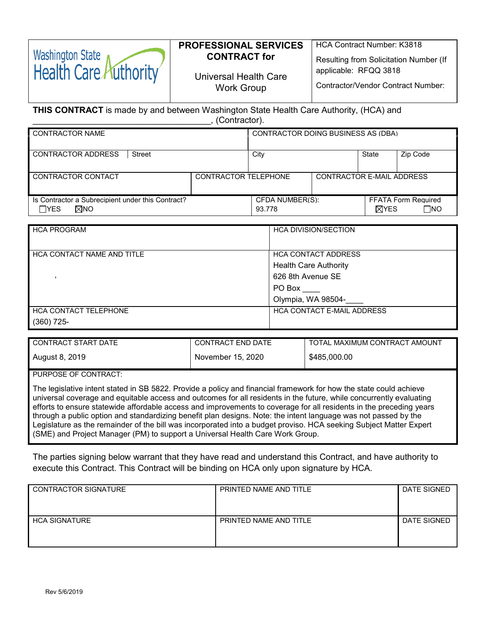#### **PROFESSIONAL SERVICES CONTRACT for**

Work Group

Universal Health Care Resulting from Solicitation Number (If

applicable: RFQQ 3818

HCA Contract Number: K3818

Contractor/Vendor Contract Number:

**THIS CONTRACT** is made by and between Washington State Health Care Authority, (HCA) and \_\_\_\_\_\_\_\_\_\_\_\_\_\_\_\_\_\_\_\_\_\_\_\_\_\_\_\_\_\_\_\_\_\_\_\_\_, (Contractor).

| <b>CONTRACTOR NAME</b>                                                 |                      | CONTRACTOR DOING BUSINESS AS (DBA) |                           |                 |                                         |
|------------------------------------------------------------------------|----------------------|------------------------------------|---------------------------|-----------------|-----------------------------------------|
| <b>CONTRACTOR ADDRESS</b><br>Street                                    |                      | City                               |                           | State           | Zip Code                                |
| CONTRACTOR CONTACT                                                     | CONTRACTOR TELEPHONE |                                    | CONTRACTOR F-MAIL ADDRESS |                 |                                         |
| Is Contractor a Subrecipient under this Contract?<br>⊠no<br>$\Box$ YES |                      | CFDA NUMBER(S):<br>93.778          |                           | $\boxtimes$ YES | <b>FFATA Form Required</b><br>$\Box$ No |

| <b>HCA PROGRAM</b>           | <b>HCA DIVISION/SECTION</b>       |
|------------------------------|-----------------------------------|
| HCA CONTACT NAME AND TITLE   | <b>HCA CONTACT ADDRESS</b>        |
|                              | <b>Health Care Authority</b>      |
|                              | 626 8th Avenue SE                 |
|                              | PO Box                            |
|                              | Olympia, WA 98504-                |
| <b>HCA CONTACT TELEPHONE</b> | <b>HCA CONTACT E-MAIL ADDRESS</b> |
| $(360)$ 725-                 |                                   |

| CONTRACT START DATE | <b>CONTRACT END DATE</b> | TOTAL MAXIMUM CONTRACT AMOUNT |
|---------------------|--------------------------|-------------------------------|
| August 8, 2019      | November 15, 2020        | \$485,000.00                  |

PURPOSE OF CONTRACT:

**Washington State** 

Health Care Authority

The legislative intent stated in SB 5822. Provide a policy and financial framework for how the state could achieve universal coverage and equitable access and outcomes for all residents in the future, while concurrently evaluating efforts to ensure statewide affordable access and improvements to coverage for all residents in the preceding years through a public option and standardizing benefit plan designs. Note: the intent language was not passed by the Legislature as the remainder of the bill was incorporated into a budget proviso. HCA seeking Subject Matter Expert (SME) and Project Manager (PM) to support a Universal Health Care Work Group.

The parties signing below warrant that they have read and understand this Contract, and have authority to execute this Contract. This Contract will be binding on HCA only upon signature by HCA.

| <b>CONTRACTOR SIGNATURE</b> | PRINTED NAME AND TITLE | DATE SIGNED |
|-----------------------------|------------------------|-------------|
| <b>HCA SIGNATURE</b>        | PRINTED NAME AND TITLE | DATE SIGNED |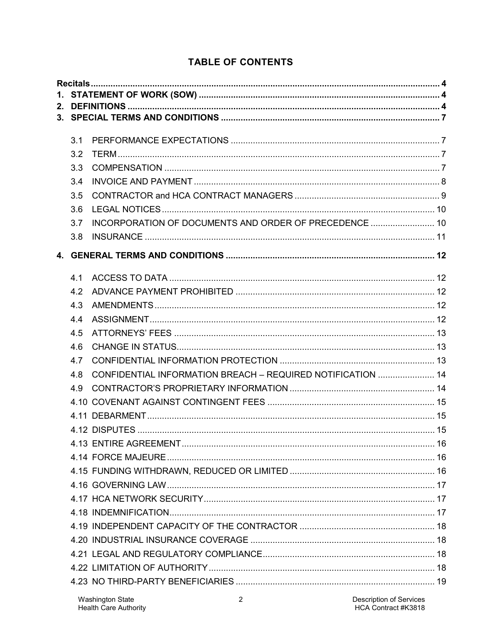# **TABLE OF CONTENTS**

| 3.1 |                                                             |  |  |  |
|-----|-------------------------------------------------------------|--|--|--|
| 3.2 |                                                             |  |  |  |
| 3.3 |                                                             |  |  |  |
| 3.4 |                                                             |  |  |  |
| 3.5 |                                                             |  |  |  |
| 3.6 |                                                             |  |  |  |
| 3.7 | INCORPORATION OF DOCUMENTS AND ORDER OF PRECEDENCE  10      |  |  |  |
| 3.8 |                                                             |  |  |  |
|     |                                                             |  |  |  |
| 41  |                                                             |  |  |  |
| 4.2 |                                                             |  |  |  |
| 4.3 |                                                             |  |  |  |
| 4.4 |                                                             |  |  |  |
| 4.5 |                                                             |  |  |  |
| 4.6 |                                                             |  |  |  |
| 4.7 |                                                             |  |  |  |
| 4.8 | CONFIDENTIAL INFORMATION BREACH - REQUIRED NOTIFICATION  14 |  |  |  |
| 4.9 |                                                             |  |  |  |
|     |                                                             |  |  |  |
|     |                                                             |  |  |  |
|     |                                                             |  |  |  |
|     |                                                             |  |  |  |
|     |                                                             |  |  |  |
|     |                                                             |  |  |  |
|     |                                                             |  |  |  |
|     |                                                             |  |  |  |
|     |                                                             |  |  |  |
|     |                                                             |  |  |  |
|     |                                                             |  |  |  |
|     |                                                             |  |  |  |
|     |                                                             |  |  |  |
|     |                                                             |  |  |  |
|     |                                                             |  |  |  |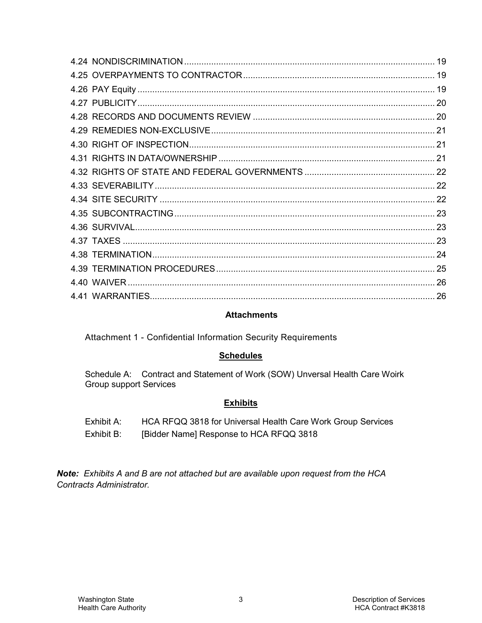#### **Attachments**

Attachment 1 - Confidential Information Security Requirements

#### **Schedules**

Schedule A: Contract and Statement of Work (SOW) Unversal Health Care Woirk **Group support Services** 

#### **Exhibits**

- Exhibit A: HCA RFQQ 3818 for Universal Health Care Work Group Services
- Exhibit B: [Bidder Name] Response to HCA RFQQ 3818

Note: Exhibits A and B are not attached but are available upon request from the HCA Contracts Administrator.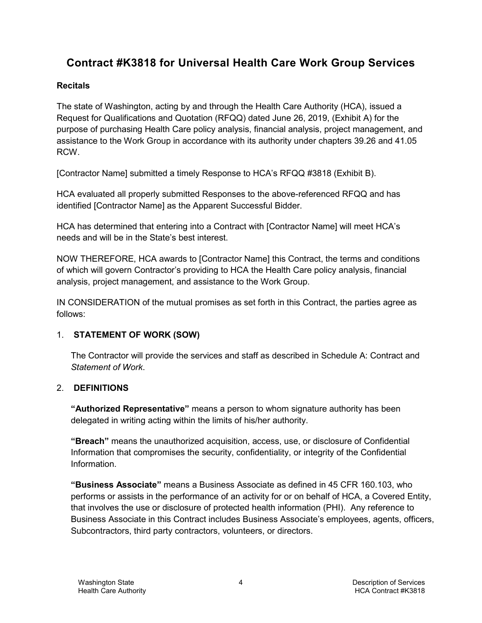# **Contract #K3818 for Universal Health Care Work Group Services**

#### <span id="page-29-0"></span>**Recitals**

The state of Washington, acting by and through the Health Care Authority (HCA), issued a Request for Qualifications and Quotation (RFQQ) dated June 26, 2019, (Exhibit A) for the purpose of purchasing Health Care policy analysis, financial analysis, project management, and assistance to the Work Group in accordance with its authority under chapters 39.26 and 41.05 RCW.

[Contractor Name] submitted a timely Response to HCA's RFQQ #3818 (Exhibit B).

HCA evaluated all properly submitted Responses to the above-referenced RFQQ and has identified [Contractor Name] as the Apparent Successful Bidder.

HCA has determined that entering into a Contract with [Contractor Name] will meet HCA's needs and will be in the State's best interest.

NOW THEREFORE, HCA awards to [Contractor Name] this Contract, the terms and conditions of which will govern Contractor's providing to HCA the Health Care policy analysis, financial analysis, project management, and assistance to the Work Group.

IN CONSIDERATION of the mutual promises as set forth in this Contract, the parties agree as follows:

# <span id="page-29-1"></span>1. **STATEMENT OF WORK (SOW)**

The Contractor will provide the services and staff as described in Schedule A: Contract and *Statement of Work*.

# <span id="page-29-2"></span>2. **DEFINITIONS**

**"Authorized Representative"** means a person to whom signature authority has been delegated in writing acting within the limits of his/her authority.

**"Breach"** means the unauthorized acquisition, access, use, or disclosure of Confidential Information that compromises the security, confidentiality, or integrity of the Confidential Information.

**"Business Associate"** means a Business Associate as defined in 45 CFR 160.103, who performs or assists in the performance of an activity for or on behalf of HCA, a Covered Entity, that involves the use or disclosure of protected health information (PHI). Any reference to Business Associate in this Contract includes Business Associate's employees, agents, officers, Subcontractors, third party contractors, volunteers, or directors.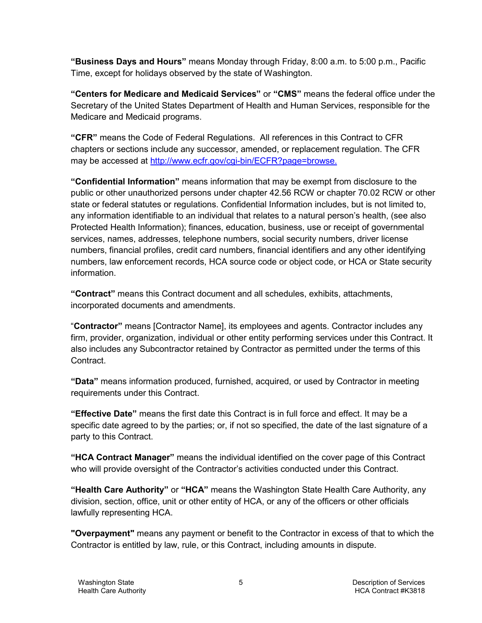**"Business Days and Hours"** means Monday through Friday, 8:00 a.m. to 5:00 p.m., Pacific Time, except for holidays observed by the state of Washington.

**"Centers for Medicare and Medicaid Services"** or **"CMS"** means the federal office under the Secretary of the United States Department of Health and Human Services, responsible for the Medicare and Medicaid programs.

**"CFR"** means the Code of Federal Regulations. All references in this Contract to CFR chapters or sections include any successor, amended, or replacement regulation. The CFR may be accessed at [http://www.ecfr.gov/cgi-bin/ECFR?page=browse.](http://www.ecfr.gov/cgi-bin/ECFR?page=browse)

**"Confidential Information"** means information that may be exempt from disclosure to the public or other unauthorized persons under chapter 42.56 RCW or chapter 70.02 RCW or other state or federal statutes or regulations. Confidential Information includes, but is not limited to, any information identifiable to an individual that relates to a natural person's health, (see also Protected Health Information); finances, education, business, use or receipt of governmental services, names, addresses, telephone numbers, social security numbers, driver license numbers, financial profiles, credit card numbers, financial identifiers and any other identifying numbers, law enforcement records, HCA source code or object code, or HCA or State security information.

**"Contract"** means this Contract document and all schedules, exhibits, attachments, incorporated documents and amendments.

"**Contractor"** means [Contractor Name], its employees and agents. Contractor includes any firm, provider, organization, individual or other entity performing services under this Contract. It also includes any Subcontractor retained by Contractor as permitted under the terms of this Contract.

**"Data"** means information produced, furnished, acquired, or used by Contractor in meeting requirements under this Contract.

**"Effective Date"** means the first date this Contract is in full force and effect. It may be a specific date agreed to by the parties; or, if not so specified, the date of the last signature of a party to this Contract.

**"HCA Contract Manager"** means the individual identified on the cover page of this Contract who will provide oversight of the Contractor's activities conducted under this Contract.

**"Health Care Authority"** or **"HCA"** means the Washington State Health Care Authority, any division, section, office, unit or other entity of HCA, or any of the officers or other officials lawfully representing HCA.

**"Overpayment"** means any payment or benefit to the Contractor in excess of that to which the Contractor is entitled by law, rule, or this Contract, including amounts in dispute.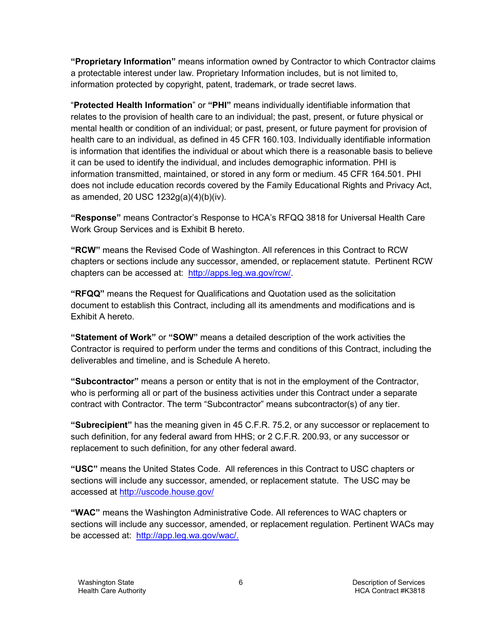**"Proprietary Information"** means information owned by Contractor to which Contractor claims a protectable interest under law. Proprietary Information includes, but is not limited to, information protected by copyright, patent, trademark, or trade secret laws.

"**Protected Health Information**" or **"PHI"** means individually identifiable information that relates to the provision of health care to an individual; the past, present, or future physical or mental health or condition of an individual; or past, present, or future payment for provision of health care to an individual, as defined in 45 CFR 160.103. Individually identifiable information is information that identifies the individual or about which there is a reasonable basis to believe it can be used to identify the individual, and includes demographic information. PHI is information transmitted, maintained, or stored in any form or medium. 45 CFR 164.501. PHI does not include education records covered by the Family Educational Rights and Privacy Act, as amended, 20 USC 1232g(a)(4)(b)(iv).

**"Response"** means Contractor's Response to HCA's RFQQ 3818 for Universal Health Care Work Group Services and is Exhibit B hereto.

**"RCW"** means the Revised Code of Washington. All references in this Contract to RCW chapters or sections include any successor, amended, or replacement statute. Pertinent RCW chapters can be accessed at: [http://apps.leg.wa.gov/rcw/.](http://apps.leg.wa.gov/rcw/)

**"RFQQ"** means the Request for Qualifications and Quotation used as the solicitation document to establish this Contract, including all its amendments and modifications and is Exhibit A hereto.

**"Statement of Work"** or **"SOW"** means a detailed description of the work activities the Contractor is required to perform under the terms and conditions of this Contract, including the deliverables and timeline, and is Schedule A hereto.

**"Subcontractor"** means a person or entity that is not in the employment of the Contractor, who is performing all or part of the business activities under this Contract under a separate contract with Contractor. The term "Subcontractor" means subcontractor(s) of any tier.

**"Subrecipient"** has the meaning given in 45 C.F.R. 75.2, or any successor or replacement to such definition, for any federal award from HHS; or 2 C.F.R. 200.93, or any successor or replacement to such definition, for any other federal award.

**"USC"** means the United States Code. All references in this Contract to USC chapters or sections will include any successor, amended, or replacement statute. The USC may be accessed at<http://uscode.house.gov/>

**"WAC"** means the Washington Administrative Code. All references to WAC chapters or sections will include any successor, amended, or replacement regulation. Pertinent WACs may be accessed at: [http://app.leg.wa.gov/wac/.](http://app.leg.wa.gov/wac/)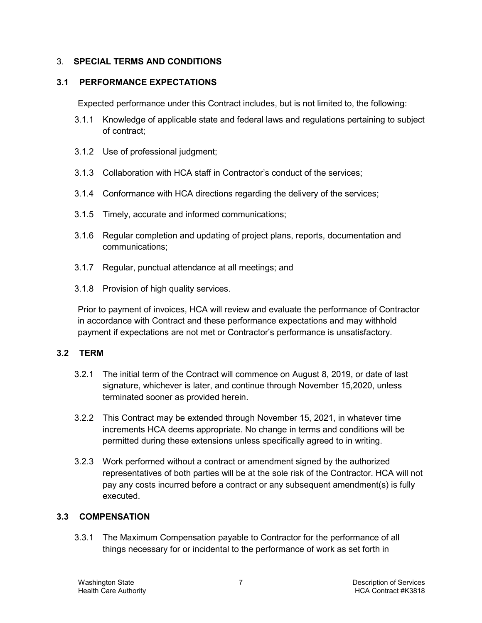#### <span id="page-32-0"></span>3. **SPECIAL TERMS AND CONDITIONS**

#### <span id="page-32-1"></span>**3.1 PERFORMANCE EXPECTATIONS**

Expected performance under this Contract includes, but is not limited to, the following:

- 3.1.1 Knowledge of applicable state and federal laws and regulations pertaining to subject of contract;
- 3.1.2 Use of professional judgment;
- 3.1.3 Collaboration with HCA staff in Contractor's conduct of the services;
- 3.1.4 Conformance with HCA directions regarding the delivery of the services;
- 3.1.5 Timely, accurate and informed communications;
- 3.1.6 Regular completion and updating of project plans, reports, documentation and communications;
- 3.1.7 Regular, punctual attendance at all meetings; and
- 3.1.8 Provision of high quality services.

Prior to payment of invoices, HCA will review and evaluate the performance of Contractor in accordance with Contract and these performance expectations and may withhold payment if expectations are not met or Contractor's performance is unsatisfactory.

#### <span id="page-32-2"></span>**3.2 TERM**

- 3.2.1 The initial term of the Contract will commence on August 8, 2019, or date of last signature, whichever is later, and continue through November 15,2020, unless terminated sooner as provided herein.
- 3.2.2 This Contract may be extended through November 15, 2021, in whatever time increments HCA deems appropriate. No change in terms and conditions will be permitted during these extensions unless specifically agreed to in writing.
- 3.2.3 Work performed without a contract or amendment signed by the authorized representatives of both parties will be at the sole risk of the Contractor. HCA will not pay any costs incurred before a contract or any subsequent amendment(s) is fully executed.

#### <span id="page-32-3"></span>**3.3 COMPENSATION**

3.3.1 The Maximum Compensation payable to Contractor for the performance of all things necessary for or incidental to the performance of work as set forth in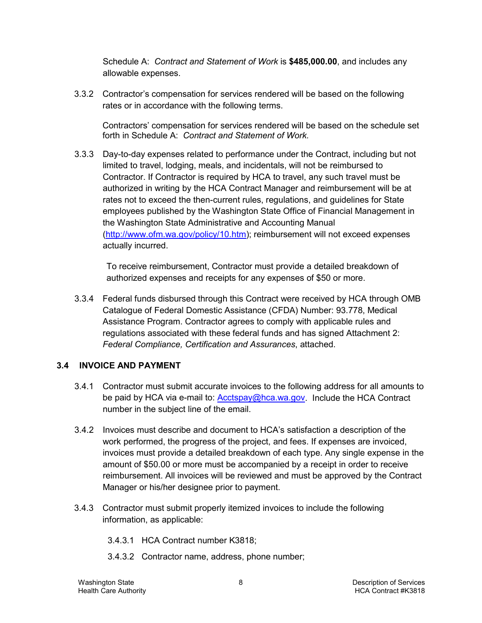Schedule A: *Contract and Statement of Work* is **\$485,000.00**, and includes any allowable expenses.

3.3.2 Contractor's compensation for services rendered will be based on the following rates or in accordance with the following terms.

Contractors' compensation for services rendered will be based on the schedule set forth in Schedule A: *Contract and Statement of Work.*

3.3.3 Day-to-day expenses related to performance under the Contract, including but not limited to travel, lodging, meals, and incidentals, will not be reimbursed to Contractor. If Contractor is required by HCA to travel, any such travel must be authorized in writing by the HCA Contract Manager and reimbursement will be at rates not to exceed the then-current rules, regulations, and guidelines for State employees published by the Washington State Office of Financial Management in the Washington State Administrative and Accounting Manual [\(http://www.ofm.wa.gov/policy/10.htm\)](http://www.ofm.wa.gov/policy/10.htm); reimbursement will not exceed expenses actually incurred.

To receive reimbursement, Contractor must provide a detailed breakdown of authorized expenses and receipts for any expenses of \$50 or more.

3.3.4 Federal funds disbursed through this Contract were received by HCA through OMB Catalogue of Federal Domestic Assistance (CFDA) Number: 93.778, Medical Assistance Program. Contractor agrees to comply with applicable rules and regulations associated with these federal funds and has signed Attachment 2: *Federal Compliance, Certification and Assurances*, attached.

#### <span id="page-33-0"></span>**3.4 INVOICE AND PAYMENT**

- 3.4.1 Contractor must submit accurate invoices to the following address for all amounts to be paid by HCA via e-mail to: [Acctspay@hca.wa.gov.](mailto:Acctspay@hca.wa.gov) Include the HCA Contract number in the subject line of the email.
- 3.4.2 Invoices must describe and document to HCA's satisfaction a description of the work performed, the progress of the project, and fees. If expenses are invoiced, invoices must provide a detailed breakdown of each type. Any single expense in the amount of \$50.00 or more must be accompanied by a receipt in order to receive reimbursement. All invoices will be reviewed and must be approved by the Contract Manager or his/her designee prior to payment.
- 3.4.3 Contractor must submit properly itemized invoices to include the following information, as applicable:
	- 3.4.3.1 HCA Contract number K3818;
	- 3.4.3.2 Contractor name, address, phone number;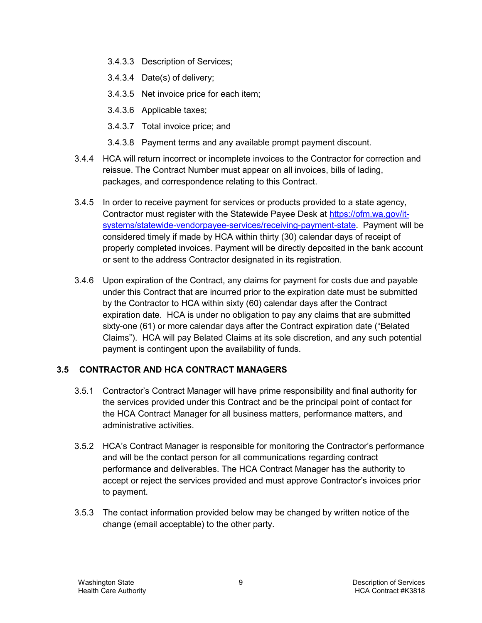- 3.4.3.3 Description of Services;
- 3.4.3.4 Date(s) of delivery;
- 3.4.3.5 Net invoice price for each item;
- 3.4.3.6 Applicable taxes;
- 3.4.3.7 Total invoice price; and
- 3.4.3.8 Payment terms and any available prompt payment discount.
- 3.4.4 HCA will return incorrect or incomplete invoices to the Contractor for correction and reissue. The Contract Number must appear on all invoices, bills of lading, packages, and correspondence relating to this Contract.
- 3.4.5 In order to receive payment for services or products provided to a state agency, Contractor must register with the Statewide Payee Desk at [https://ofm.wa.gov/it](https://ofm.wa.gov/it-systems/statewide-vendorpayee-services/receiving-payment-state)[systems/statewide-vendorpayee-services/receiving-payment-state.](https://ofm.wa.gov/it-systems/statewide-vendorpayee-services/receiving-payment-state) Payment will be considered timely if made by HCA within thirty (30) calendar days of receipt of properly completed invoices. Payment will be directly deposited in the bank account or sent to the address Contractor designated in its registration.
- 3.4.6 Upon expiration of the Contract, any claims for payment for costs due and payable under this Contract that are incurred prior to the expiration date must be submitted by the Contractor to HCA within sixty (60) calendar days after the Contract expiration date. HCA is under no obligation to pay any claims that are submitted sixty-one (61) or more calendar days after the Contract expiration date ("Belated Claims"). HCA will pay Belated Claims at its sole discretion, and any such potential payment is contingent upon the availability of funds.

#### <span id="page-34-0"></span>**3.5 CONTRACTOR AND HCA CONTRACT MANAGERS**

- 3.5.1 Contractor's Contract Manager will have prime responsibility and final authority for the services provided under this Contract and be the principal point of contact for the HCA Contract Manager for all business matters, performance matters, and administrative activities.
- 3.5.2 HCA's Contract Manager is responsible for monitoring the Contractor's performance and will be the contact person for all communications regarding contract performance and deliverables. The HCA Contract Manager has the authority to accept or reject the services provided and must approve Contractor's invoices prior to payment.
- 3.5.3 The contact information provided below may be changed by written notice of the change (email acceptable) to the other party.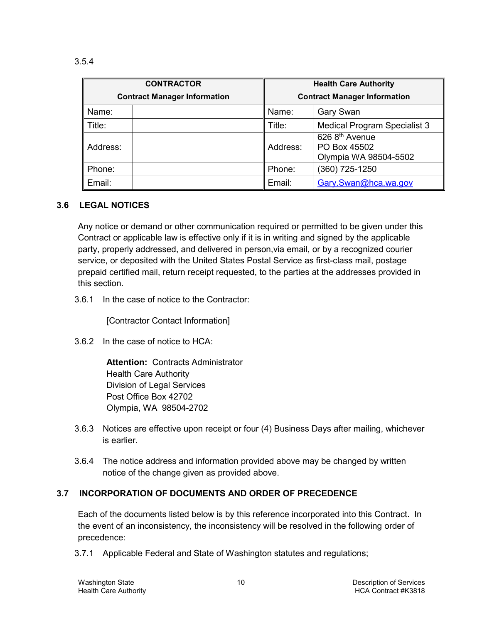| <b>CONTRACTOR</b>                   |  | <b>Health Care Authority</b>        |                                                             |  |
|-------------------------------------|--|-------------------------------------|-------------------------------------------------------------|--|
| <b>Contract Manager Information</b> |  | <b>Contract Manager Information</b> |                                                             |  |
| Name:                               |  | Name:                               | <b>Gary Swan</b>                                            |  |
| Title:                              |  | Title:                              | <b>Medical Program Specialist 3</b>                         |  |
| Address:                            |  | Address:                            | $626$ $8th$ Avenue<br>PO Box 45502<br>Olympia WA 98504-5502 |  |
| Phone:                              |  | Phone:                              | (360) 725-1250                                              |  |
| Email:                              |  | Email:                              | Gary.Swan@hca.wa.gov                                        |  |

#### <span id="page-35-0"></span>**3.6 LEGAL NOTICES**

Any notice or demand or other communication required or permitted to be given under this Contract or applicable law is effective only if it is in writing and signed by the applicable party, properly addressed, and delivered in person,via email, or by a recognized courier service, or deposited with the United States Postal Service as first-class mail, postage prepaid certified mail, return receipt requested, to the parties at the addresses provided in this section.

3.6.1 In the case of notice to the Contractor:

[Contractor Contact Information]

3.6.2 In the case of notice to HCA:

**Attention:** Contracts Administrator Health Care Authority Division of Legal Services Post Office Box 42702 Olympia, WA 98504-2702

- 3.6.3 Notices are effective upon receipt or four (4) Business Days after mailing, whichever is earlier.
- 3.6.4 The notice address and information provided above may be changed by written notice of the change given as provided above.

#### <span id="page-35-1"></span>**3.7 INCORPORATION OF DOCUMENTS AND ORDER OF PRECEDENCE**

Each of the documents listed below is by this reference incorporated into this Contract. In the event of an inconsistency, the inconsistency will be resolved in the following order of precedence:

3.7.1 Applicable Federal and State of Washington statutes and regulations;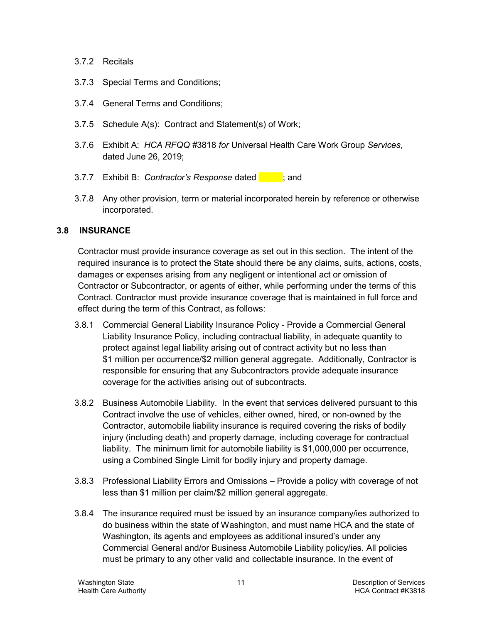- 3.7.2 Recitals
- 3.7.3 Special Terms and Conditions;
- 3.7.4 General Terms and Conditions;
- 3.7.5 Schedule A(s): Contract and Statement(s) of Work;
- 3.7.6 Exhibit A: *HCA RFQQ #*3818 *for* Universal Health Care Work Group *Services*, dated June 26, 2019;
- 3.7.7 Exhibit B: *Contractor's Response* dated **in the state**; and
- 3.7.8 Any other provision, term or material incorporated herein by reference or otherwise incorporated.

#### <span id="page-36-0"></span>**3.8 INSURANCE**

Contractor must provide insurance coverage as set out in this section. The intent of the required insurance is to protect the State should there be any claims, suits, actions, costs, damages or expenses arising from any negligent or intentional act or omission of Contractor or Subcontractor, or agents of either, while performing under the terms of this Contract. Contractor must provide insurance coverage that is maintained in full force and effect during the term of this Contract, as follows:

- 3.8.1 Commercial General Liability Insurance Policy Provide a Commercial General Liability Insurance Policy, including contractual liability, in adequate quantity to protect against legal liability arising out of contract activity but no less than \$1 million per occurrence/\$2 million general aggregate. Additionally, Contractor is responsible for ensuring that any Subcontractors provide adequate insurance coverage for the activities arising out of subcontracts.
- 3.8.2 Business Automobile Liability. In the event that services delivered pursuant to this Contract involve the use of vehicles, either owned, hired, or non-owned by the Contractor, automobile liability insurance is required covering the risks of bodily injury (including death) and property damage, including coverage for contractual liability. The minimum limit for automobile liability is \$1,000,000 per occurrence, using a Combined Single Limit for bodily injury and property damage.
- 3.8.3 Professional Liability Errors and Omissions Provide a policy with coverage of not less than \$1 million per claim/\$2 million general aggregate.
- 3.8.4 The insurance required must be issued by an insurance company/ies authorized to do business within the state of Washington, and must name HCA and the state of Washington, its agents and employees as additional insured's under any Commercial General and/or Business Automobile Liability policy/ies. All policies must be primary to any other valid and collectable insurance. In the event of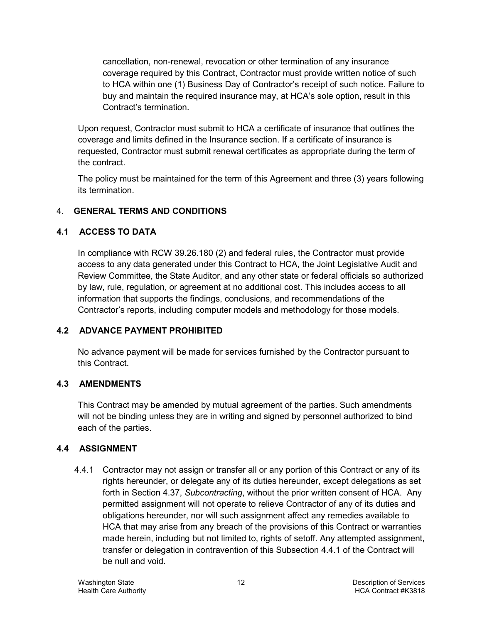cancellation, non-renewal, revocation or other termination of any insurance coverage required by this Contract, Contractor must provide written notice of such to HCA within one (1) Business Day of Contractor's receipt of such notice. Failure to buy and maintain the required insurance may, at HCA's sole option, result in this Contract's termination.

Upon request, Contractor must submit to HCA a certificate of insurance that outlines the coverage and limits defined in the Insurance section. If a certificate of insurance is requested, Contractor must submit renewal certificates as appropriate during the term of the contract.

The policy must be maintained for the term of this Agreement and three (3) years following its termination.

# <span id="page-37-0"></span>4. **GENERAL TERMS AND CONDITIONS**

# <span id="page-37-1"></span>**4.1 ACCESS TO DATA**

In compliance with RCW 39.26.180 (2) and federal rules, the Contractor must provide access to any data generated under this Contract to HCA, the Joint Legislative Audit and Review Committee, the State Auditor, and any other state or federal officials so authorized by law, rule, regulation, or agreement at no additional cost. This includes access to all information that supports the findings, conclusions, and recommendations of the Contractor's reports, including computer models and methodology for those models.

# <span id="page-37-2"></span>**4.2 ADVANCE PAYMENT PROHIBITED**

No advance payment will be made for services furnished by the Contractor pursuant to this Contract.

# <span id="page-37-3"></span>**4.3 AMENDMENTS**

This Contract may be amended by mutual agreement of the parties. Such amendments will not be binding unless they are in writing and signed by personnel authorized to bind each of the parties.

# <span id="page-37-4"></span>**4.4 ASSIGNMENT**

<span id="page-37-5"></span>4.4.1 Contractor may not assign or transfer all or any portion of this Contract or any of its rights hereunder, or delegate any of its duties hereunder, except delegations as set forth in Section [4.37,](#page-48-0) *Subcontracting*, without the prior written consent of HCA. Any permitted assignment will not operate to relieve Contractor of any of its duties and obligations hereunder, nor will such assignment affect any remedies available to HCA that may arise from any breach of the provisions of this Contract or warranties made herein, including but not limited to, rights of setoff. Any attempted assignment, transfer or delegation in contravention of this Subsection [4.4.1](#page-37-5) of the Contract will be null and void.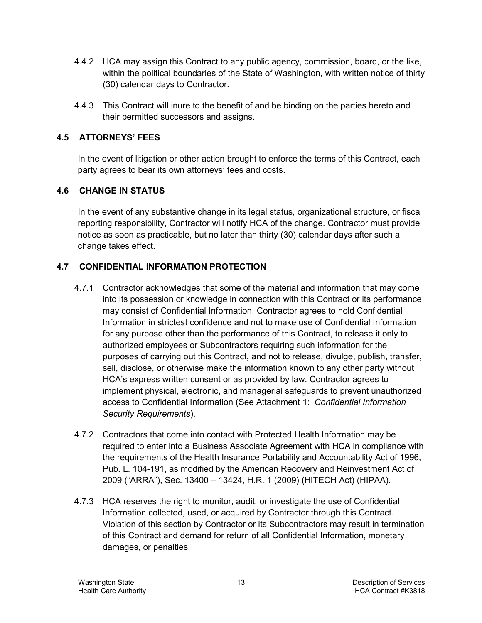- 4.4.2 HCA may assign this Contract to any public agency, commission, board, or the like, within the political boundaries of the State of Washington, with written notice of thirty (30) calendar days to Contractor.
- 4.4.3 This Contract will inure to the benefit of and be binding on the parties hereto and their permitted successors and assigns.

## <span id="page-38-0"></span>**4.5 ATTORNEYS' FEES**

In the event of litigation or other action brought to enforce the terms of this Contract, each party agrees to bear its own attorneys' fees and costs.

## <span id="page-38-1"></span>**4.6 CHANGE IN STATUS**

In the event of any substantive change in its legal status, organizational structure, or fiscal reporting responsibility, Contractor will notify HCA of the change. Contractor must provide notice as soon as practicable, but no later than thirty (30) calendar days after such a change takes effect.

## <span id="page-38-2"></span>**4.7 CONFIDENTIAL INFORMATION PROTECTION**

- 4.7.1 Contractor acknowledges that some of the material and information that may come into its possession or knowledge in connection with this Contract or its performance may consist of Confidential Information. Contractor agrees to hold Confidential Information in strictest confidence and not to make use of Confidential Information for any purpose other than the performance of this Contract, to release it only to authorized employees or Subcontractors requiring such information for the purposes of carrying out this Contract, and not to release, divulge, publish, transfer, sell, disclose, or otherwise make the information known to any other party without HCA's express written consent or as provided by law. Contractor agrees to implement physical, electronic, and managerial safeguards to prevent unauthorized access to Confidential Information (See Attachment 1: *Confidential Information Security Requirements*).
- 4.7.2 Contractors that come into contact with Protected Health Information may be required to enter into a Business Associate Agreement with HCA in compliance with the requirements of the Health Insurance Portability and Accountability Act of 1996, Pub. L. 104-191, as modified by the American Recovery and Reinvestment Act of 2009 ("ARRA"), Sec. 13400 – 13424, H.R. 1 (2009) (HITECH Act) (HIPAA).
- 4.7.3 HCA reserves the right to monitor, audit, or investigate the use of Confidential Information collected, used, or acquired by Contractor through this Contract. Violation of this section by Contractor or its Subcontractors may result in termination of this Contract and demand for return of all Confidential Information, monetary damages, or penalties.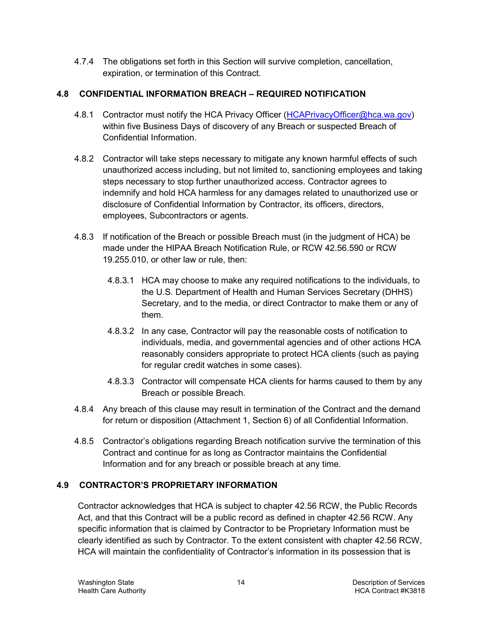4.7.4 The obligations set forth in this Section will survive completion, cancellation, expiration, or termination of this Contract.

# <span id="page-39-0"></span>**4.8 CONFIDENTIAL INFORMATION BREACH – REQUIRED NOTIFICATION**

- 4.8.1 Contractor must notify the HCA Privacy Officer [\(HCAPrivacyOfficer@hca.wa.gov\)](mailto:HCAPrivacyOfficer@hca.wa.gov) within five Business Days of discovery of any Breach or suspected Breach of Confidential Information.
- 4.8.2 Contractor will take steps necessary to mitigate any known harmful effects of such unauthorized access including, but not limited to, sanctioning employees and taking steps necessary to stop further unauthorized access. Contractor agrees to indemnify and hold HCA harmless for any damages related to unauthorized use or disclosure of Confidential Information by Contractor, its officers, directors, employees, Subcontractors or agents.
- 4.8.3 If notification of the Breach or possible Breach must (in the judgment of HCA) be made under the HIPAA Breach Notification Rule, or RCW 42.56.590 or RCW 19.255.010, or other law or rule, then:
	- 4.8.3.1 HCA may choose to make any required notifications to the individuals, to the U.S. Department of Health and Human Services Secretary (DHHS) Secretary, and to the media, or direct Contractor to make them or any of them.
	- 4.8.3.2 In any case, Contractor will pay the reasonable costs of notification to individuals, media, and governmental agencies and of other actions HCA reasonably considers appropriate to protect HCA clients (such as paying for regular credit watches in some cases).
	- 4.8.3.3 Contractor will compensate HCA clients for harms caused to them by any Breach or possible Breach.
- 4.8.4 Any breach of this clause may result in termination of the Contract and the demand for return or disposition (Attachment 1, Section 6) of all Confidential Information.
- 4.8.5 Contractor's obligations regarding Breach notification survive the termination of this Contract and continue for as long as Contractor maintains the Confidential Information and for any breach or possible breach at any time.

# <span id="page-39-1"></span>**4.9 CONTRACTOR'S PROPRIETARY INFORMATION**

Contractor acknowledges that HCA is subject to chapter 42.56 RCW, the Public Records Act, and that this Contract will be a public record as defined in chapter 42.56 RCW. Any specific information that is claimed by Contractor to be Proprietary Information must be clearly identified as such by Contractor. To the extent consistent with chapter 42.56 RCW, HCA will maintain the confidentiality of Contractor's information in its possession that is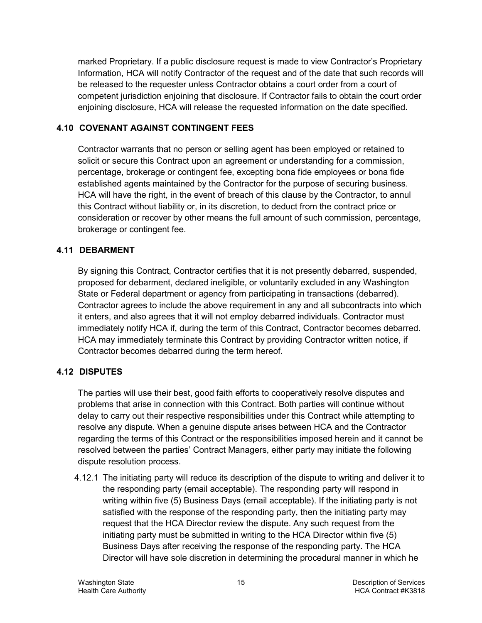marked Proprietary. If a public disclosure request is made to view Contractor's Proprietary Information, HCA will notify Contractor of the request and of the date that such records will be released to the requester unless Contractor obtains a court order from a court of competent jurisdiction enjoining that disclosure. If Contractor fails to obtain the court order enjoining disclosure, HCA will release the requested information on the date specified.

#### <span id="page-40-0"></span>**4.10 COVENANT AGAINST CONTINGENT FEES**

Contractor warrants that no person or selling agent has been employed or retained to solicit or secure this Contract upon an agreement or understanding for a commission, percentage, brokerage or contingent fee, excepting bona fide employees or bona fide established agents maintained by the Contractor for the purpose of securing business. HCA will have the right, in the event of breach of this clause by the Contractor, to annul this Contract without liability or, in its discretion, to deduct from the contract price or consideration or recover by other means the full amount of such commission, percentage, brokerage or contingent fee.

#### <span id="page-40-1"></span>**4.11 DEBARMENT**

By signing this Contract, Contractor certifies that it is not presently debarred, suspended, proposed for debarment, declared ineligible, or voluntarily excluded in any Washington State or Federal department or agency from participating in transactions (debarred). Contractor agrees to include the above requirement in any and all subcontracts into which it enters, and also agrees that it will not employ debarred individuals. Contractor must immediately notify HCA if, during the term of this Contract, Contractor becomes debarred. HCA may immediately terminate this Contract by providing Contractor written notice, if Contractor becomes debarred during the term hereof.

# <span id="page-40-2"></span>**4.12 DISPUTES**

The parties will use their best, good faith efforts to cooperatively resolve disputes and problems that arise in connection with this Contract. Both parties will continue without delay to carry out their respective responsibilities under this Contract while attempting to resolve any dispute. When a genuine dispute arises between HCA and the Contractor regarding the terms of this Contract or the responsibilities imposed herein and it cannot be resolved between the parties' Contract Managers, either party may initiate the following dispute resolution process.

4.12.1 The initiating party will reduce its description of the dispute to writing and deliver it to the responding party (email acceptable). The responding party will respond in writing within five (5) Business Days (email acceptable). If the initiating party is not satisfied with the response of the responding party, then the initiating party may request that the HCA Director review the dispute. Any such request from the initiating party must be submitted in writing to the HCA Director within five (5) Business Days after receiving the response of the responding party. The HCA Director will have sole discretion in determining the procedural manner in which he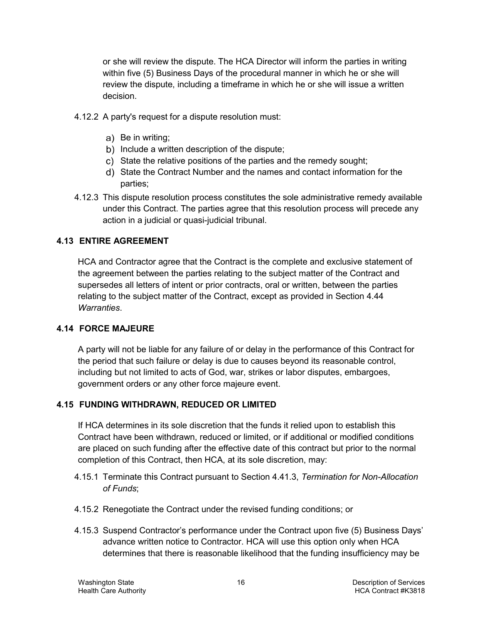or she will review the dispute. The HCA Director will inform the parties in writing within five (5) Business Days of the procedural manner in which he or she will review the dispute, including a timeframe in which he or she will issue a written decision.

- 4.12.2 A party's request for a dispute resolution must:
	- a) Be in writing;
	- b) Include a written description of the dispute;
	- c) State the relative positions of the parties and the remedy sought;
	- State the Contract Number and the names and contact information for the parties;
- 4.12.3 This dispute resolution process constitutes the sole administrative remedy available under this Contract. The parties agree that this resolution process will precede any action in a judicial or quasi-judicial tribunal.

#### <span id="page-41-0"></span>**4.13 ENTIRE AGREEMENT**

HCA and Contractor agree that the Contract is the complete and exclusive statement of the agreement between the parties relating to the subject matter of the Contract and supersedes all letters of intent or prior contracts, oral or written, between the parties relating to the subject matter of the Contract, except as provided in Section [4.44](#page-51-1) *Warranties*.

#### <span id="page-41-1"></span>**4.14 FORCE MAJEURE**

A party will not be liable for any failure of or delay in the performance of this Contract for the period that such failure or delay is due to causes beyond its reasonable control, including but not limited to acts of God, war, strikes or labor disputes, embargoes, government orders or any other force majeure event.

#### <span id="page-41-2"></span>**4.15 FUNDING WITHDRAWN, REDUCED OR LIMITED**

If HCA determines in its sole discretion that the funds it relied upon to establish this Contract have been withdrawn, reduced or limited, or if additional or modified conditions are placed on such funding after the effective date of this contract but prior to the normal completion of this Contract, then HCA, at its sole discretion, may:

- 4.15.1 Terminate this Contract pursuant to Section [4.41.3,](#page-49-1) *Termination for Non-Allocation of Funds*;
- 4.15.2 Renegotiate the Contract under the revised funding conditions; or
- 4.15.3 Suspend Contractor's performance under the Contract upon five (5) Business Days' advance written notice to Contractor. HCA will use this option only when HCA determines that there is reasonable likelihood that the funding insufficiency may be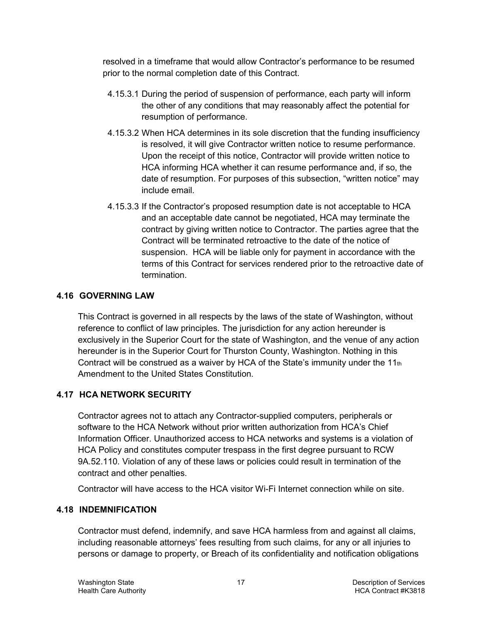resolved in a timeframe that would allow Contractor's performance to be resumed prior to the normal completion date of this Contract.

- 4.15.3.1 During the period of suspension of performance, each party will inform the other of any conditions that may reasonably affect the potential for resumption of performance.
- 4.15.3.2 When HCA determines in its sole discretion that the funding insufficiency is resolved, it will give Contractor written notice to resume performance. Upon the receipt of this notice, Contractor will provide written notice to HCA informing HCA whether it can resume performance and, if so, the date of resumption. For purposes of this subsection, "written notice" may include email.
- 4.15.3.3 If the Contractor's proposed resumption date is not acceptable to HCA and an acceptable date cannot be negotiated, HCA may terminate the contract by giving written notice to Contractor. The parties agree that the Contract will be terminated retroactive to the date of the notice of suspension. HCA will be liable only for payment in accordance with the terms of this Contract for services rendered prior to the retroactive date of termination.

## <span id="page-42-0"></span>**4.16 GOVERNING LAW**

This Contract is governed in all respects by the laws of the state of Washington, without reference to conflict of law principles. The jurisdiction for any action hereunder is exclusively in the Superior Court for the state of Washington, and the venue of any action hereunder is in the Superior Court for Thurston County, Washington. Nothing in this Contract will be construed as a waiver by HCA of the State's immunity under the  $11<sub>th</sub>$ Amendment to the United States Constitution.

# <span id="page-42-1"></span>**4.17 HCA NETWORK SECURITY**

Contractor agrees not to attach any Contractor-supplied computers, peripherals or software to the HCA Network without prior written authorization from HCA's Chief Information Officer. Unauthorized access to HCA networks and systems is a violation of HCA Policy and constitutes computer trespass in the first degree pursuant to RCW 9A.52.110. Violation of any of these laws or policies could result in termination of the contract and other penalties.

Contractor will have access to the HCA visitor Wi-Fi Internet connection while on site.

#### <span id="page-42-2"></span>**4.18 INDEMNIFICATION**

Contractor must defend, indemnify, and save HCA harmless from and against all claims, including reasonable attorneys' fees resulting from such claims, for any or all injuries to persons or damage to property, or Breach of its confidentiality and notification obligations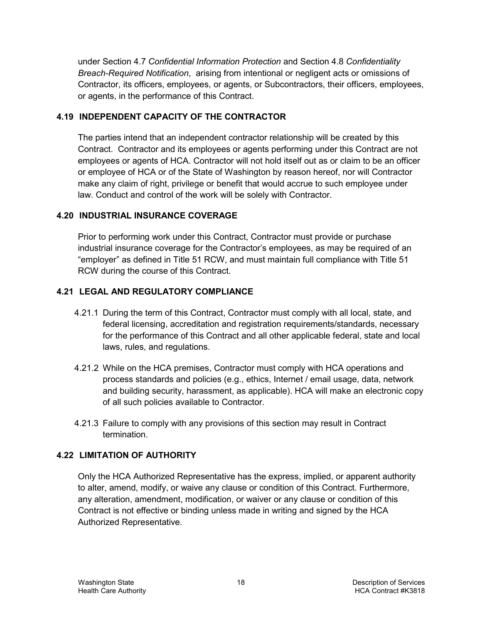under Section [4.7](#page-38-2) *Confidential Information Protection* and Section [4.8](#page-39-0) *Confidentiality Breach-Required Notification*, arising from intentional or negligent acts or omissions of Contractor, its officers, employees, or agents, or Subcontractors, their officers, employees, or agents, in the performance of this Contract.

#### <span id="page-43-0"></span>**4.19 INDEPENDENT CAPACITY OF THE CONTRACTOR**

The parties intend that an independent contractor relationship will be created by this Contract. Contractor and its employees or agents performing under this Contract are not employees or agents of HCA. Contractor will not hold itself out as or claim to be an officer or employee of HCA or of the State of Washington by reason hereof, nor will Contractor make any claim of right, privilege or benefit that would accrue to such employee under law. Conduct and control of the work will be solely with Contractor.

## <span id="page-43-1"></span>**4.20 INDUSTRIAL INSURANCE COVERAGE**

Prior to performing work under this Contract, Contractor must provide or purchase industrial insurance coverage for the Contractor's employees, as may be required of an "employer" as defined in Title 51 RCW, and must maintain full compliance with Title 51 RCW during the course of this Contract.

# <span id="page-43-2"></span>**4.21 LEGAL AND REGULATORY COMPLIANCE**

- 4.21.1 During the term of this Contract, Contractor must comply with all local, state, and federal licensing, accreditation and registration requirements/standards, necessary for the performance of this Contract and all other applicable federal, state and local laws, rules, and regulations.
- 4.21.2 While on the HCA premises, Contractor must comply with HCA operations and process standards and policies (e.g., ethics, Internet / email usage, data, network and building security, harassment, as applicable). HCA will make an electronic copy of all such policies available to Contractor.
- 4.21.3 Failure to comply with any provisions of this section may result in Contract termination.

# <span id="page-43-3"></span>**4.22 LIMITATION OF AUTHORITY**

Only the HCA Authorized Representative has the express, implied, or apparent authority to alter, amend, modify, or waive any clause or condition of this Contract. Furthermore, any alteration, amendment, modification, or waiver or any clause or condition of this Contract is not effective or binding unless made in writing and signed by the HCA Authorized Representative.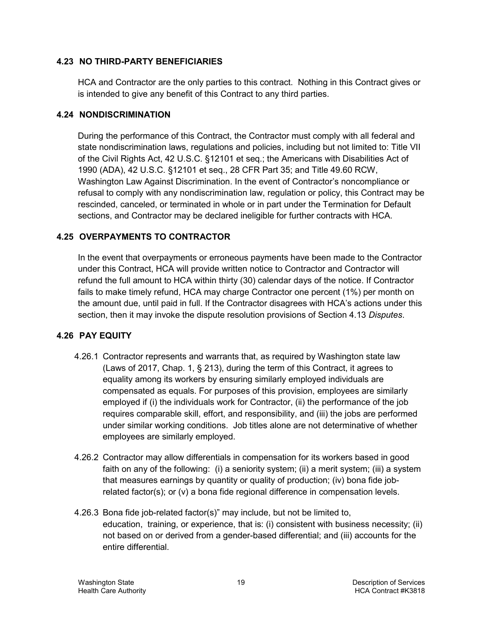#### <span id="page-44-0"></span>**4.23 NO THIRD-PARTY BENEFICIARIES**

HCA and Contractor are the only parties to this contract. Nothing in this Contract gives or is intended to give any benefit of this Contract to any third parties.

#### <span id="page-44-1"></span>**4.24 NONDISCRIMINATION**

During the performance of this Contract, the Contractor must comply with all federal and state nondiscrimination laws, regulations and policies, including but not limited to: Title VII of the Civil Rights Act, 42 U.S.C. §12101 et seq.; the Americans with Disabilities Act of 1990 (ADA), 42 U.S.C. §12101 et seq., 28 CFR Part 35; and Title 49.60 RCW, Washington Law Against Discrimination. In the event of Contractor's noncompliance or refusal to comply with any nondiscrimination law, regulation or policy, this Contract may be rescinded, canceled, or terminated in whole or in part under the Termination for Default sections, and Contractor may be declared ineligible for further contracts with HCA.

#### <span id="page-44-2"></span>**4.25 OVERPAYMENTS TO CONTRACTOR**

In the event that overpayments or erroneous payments have been made to the Contractor under this Contract, HCA will provide written notice to Contractor and Contractor will refund the full amount to HCA within thirty (30) calendar days of the notice. If Contractor fails to make timely refund, HCA may charge Contractor one percent (1%) per month on the amount due, until paid in full. If the Contractor disagrees with HCA's actions under this section, then it may invoke the dispute resolution provisions of Section [4.13](#page-40-2) *Disputes*.

#### <span id="page-44-3"></span>**4.26 PAY EQUITY**

- 4.26.1 Contractor represents and warrants that, as required by Washington state law (Laws of 2017, Chap. 1, § 213), during the term of this Contract, it agrees to equality among its workers by ensuring similarly employed individuals are compensated as equals. For purposes of this provision, employees are similarly employed if (i) the individuals work for Contractor, (ii) the performance of the job requires comparable skill, effort, and responsibility, and (iii) the jobs are performed under similar working conditions. Job titles alone are not determinative of whether employees are similarly employed.
- 4.26.2 Contractor may allow differentials in compensation for its workers based in good faith on any of the following: (i) a seniority system; (ii) a merit system; (iii) a system that measures earnings by quantity or quality of production; (iv) bona fide jobrelated factor(s); or (v) a bona fide regional difference in compensation levels.
- 4.26.3 Bona fide job-related factor(s)" may include, but not be limited to, education, training, or experience, that is: (i) consistent with business necessity; (ii) not based on or derived from a gender-based differential; and (iii) accounts for the entire differential.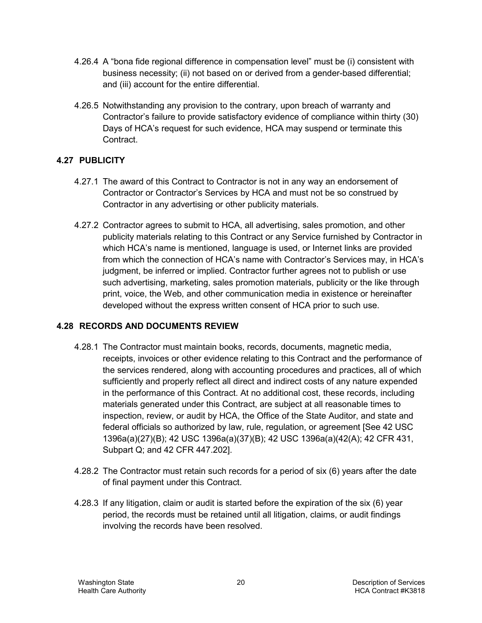- 4.26.4 A "bona fide regional difference in compensation level" must be (i) consistent with business necessity; (ii) not based on or derived from a gender-based differential; and (iii) account for the entire differential.
- 4.26.5 Notwithstanding any provision to the contrary, upon breach of warranty and Contractor's failure to provide satisfactory evidence of compliance within thirty (30) Days of HCA's request for such evidence, HCA may suspend or terminate this Contract.

# <span id="page-45-0"></span>**4.27 PUBLICITY**

- 4.27.1 The award of this Contract to Contractor is not in any way an endorsement of Contractor or Contractor's Services by HCA and must not be so construed by Contractor in any advertising or other publicity materials.
- 4.27.2 Contractor agrees to submit to HCA, all advertising, sales promotion, and other publicity materials relating to this Contract or any Service furnished by Contractor in which HCA's name is mentioned, language is used, or Internet links are provided from which the connection of HCA's name with Contractor's Services may, in HCA's judgment, be inferred or implied. Contractor further agrees not to publish or use such advertising, marketing, sales promotion materials, publicity or the like through print, voice, the Web, and other communication media in existence or hereinafter developed without the express written consent of HCA prior to such use.

#### <span id="page-45-1"></span>**4.28 RECORDS AND DOCUMENTS REVIEW**

- 4.28.1 The Contractor must maintain books, records, documents, magnetic media, receipts, invoices or other evidence relating to this Contract and the performance of the services rendered, along with accounting procedures and practices, all of which sufficiently and properly reflect all direct and indirect costs of any nature expended in the performance of this Contract. At no additional cost, these records, including materials generated under this Contract, are subject at all reasonable times to inspection, review, or audit by HCA, the Office of the State Auditor, and state and federal officials so authorized by law, rule, regulation, or agreement [See 42 USC 1396a(a)(27)(B); 42 USC 1396a(a)(37)(B); 42 USC 1396a(a)(42(A); 42 CFR 431, Subpart Q; and 42 CFR 447.202].
- 4.28.2 The Contractor must retain such records for a period of six (6) years after the date of final payment under this Contract.
- 4.28.3 If any litigation, claim or audit is started before the expiration of the six (6) year period, the records must be retained until all litigation, claims, or audit findings involving the records have been resolved.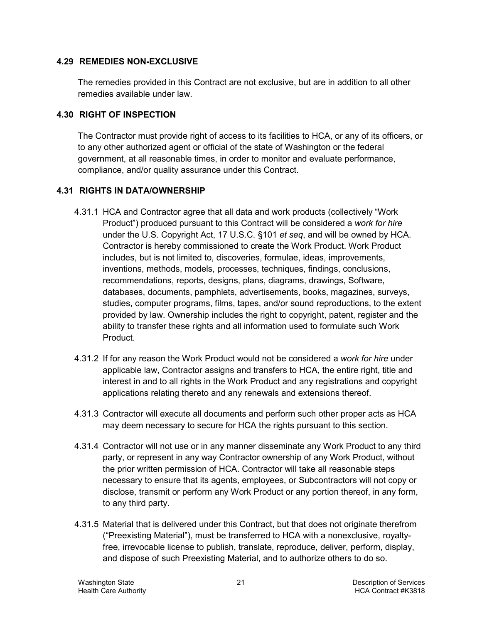#### <span id="page-46-0"></span>**4.29 REMEDIES NON-EXCLUSIVE**

The remedies provided in this Contract are not exclusive, but are in addition to all other remedies available under law.

#### <span id="page-46-1"></span>**4.30 RIGHT OF INSPECTION**

The Contractor must provide right of access to its facilities to HCA, or any of its officers, or to any other authorized agent or official of the state of Washington or the federal government, at all reasonable times, in order to monitor and evaluate performance, compliance, and/or quality assurance under this Contract.

#### <span id="page-46-2"></span>**4.31 RIGHTS IN DATA/OWNERSHIP**

- 4.31.1 HCA and Contractor agree that all data and work products (collectively "Work Product") produced pursuant to this Contract will be considered a *work for hire* under the U.S. Copyright Act, 17 U.S.C. §101 *et seq*, and will be owned by HCA. Contractor is hereby commissioned to create the Work Product. Work Product includes, but is not limited to, discoveries, formulae, ideas, improvements, inventions, methods, models, processes, techniques, findings, conclusions, recommendations, reports, designs, plans, diagrams, drawings, Software, databases, documents, pamphlets, advertisements, books, magazines, surveys, studies, computer programs, films, tapes, and/or sound reproductions, to the extent provided by law. Ownership includes the right to copyright, patent, register and the ability to transfer these rights and all information used to formulate such Work Product.
- 4.31.2 If for any reason the Work Product would not be considered a *work for hire* under applicable law, Contractor assigns and transfers to HCA, the entire right, title and interest in and to all rights in the Work Product and any registrations and copyright applications relating thereto and any renewals and extensions thereof.
- 4.31.3 Contractor will execute all documents and perform such other proper acts as HCA may deem necessary to secure for HCA the rights pursuant to this section.
- 4.31.4 Contractor will not use or in any manner disseminate any Work Product to any third party, or represent in any way Contractor ownership of any Work Product, without the prior written permission of HCA. Contractor will take all reasonable steps necessary to ensure that its agents, employees, or Subcontractors will not copy or disclose, transmit or perform any Work Product or any portion thereof, in any form, to any third party.
- 4.31.5 Material that is delivered under this Contract, but that does not originate therefrom ("Preexisting Material"), must be transferred to HCA with a nonexclusive, royaltyfree, irrevocable license to publish, translate, reproduce, deliver, perform, display, and dispose of such Preexisting Material, and to authorize others to do so.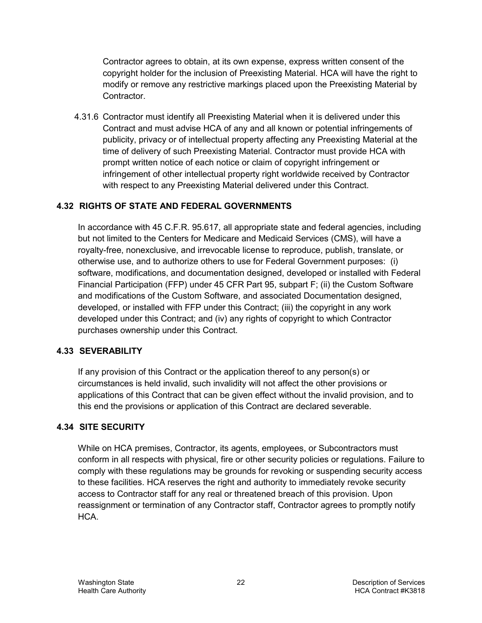Contractor agrees to obtain, at its own expense, express written consent of the copyright holder for the inclusion of Preexisting Material. HCA will have the right to modify or remove any restrictive markings placed upon the Preexisting Material by Contractor.

4.31.6 Contractor must identify all Preexisting Material when it is delivered under this Contract and must advise HCA of any and all known or potential infringements of publicity, privacy or of intellectual property affecting any Preexisting Material at the time of delivery of such Preexisting Material. Contractor must provide HCA with prompt written notice of each notice or claim of copyright infringement or infringement of other intellectual property right worldwide received by Contractor with respect to any Preexisting Material delivered under this Contract.

# <span id="page-47-0"></span>**4.32 RIGHTS OF STATE AND FEDERAL GOVERNMENTS**

In accordance with 45 C.F.R. 95.617, all appropriate state and federal agencies, including but not limited to the Centers for Medicare and Medicaid Services (CMS), will have a royalty-free, nonexclusive, and irrevocable license to reproduce, publish, translate, or otherwise use, and to authorize others to use for Federal Government purposes: (i) software, modifications, and documentation designed, developed or installed with Federal Financial Participation (FFP) under 45 CFR Part 95, subpart F; (ii) the Custom Software and modifications of the Custom Software, and associated Documentation designed, developed, or installed with FFP under this Contract; (iii) the copyright in any work developed under this Contract; and (iv) any rights of copyright to which Contractor purchases ownership under this Contract.

#### <span id="page-47-1"></span>**4.33 SEVERABILITY**

If any provision of this Contract or the application thereof to any person(s) or circumstances is held invalid, such invalidity will not affect the other provisions or applications of this Contract that can be given effect without the invalid provision, and to this end the provisions or application of this Contract are declared severable.

# <span id="page-47-2"></span>**4.34 SITE SECURITY**

While on HCA premises, Contractor, its agents, employees, or Subcontractors must conform in all respects with physical, fire or other security policies or regulations. Failure to comply with these regulations may be grounds for revoking or suspending security access to these facilities. HCA reserves the right and authority to immediately revoke security access to Contractor staff for any real or threatened breach of this provision. Upon reassignment or termination of any Contractor staff, Contractor agrees to promptly notify HCA.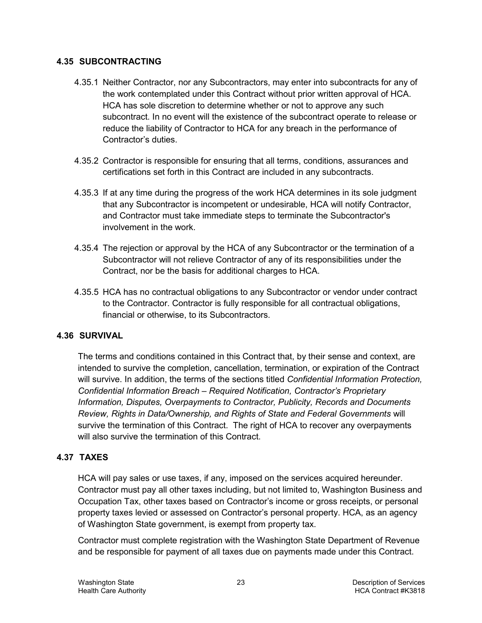#### <span id="page-48-0"></span>**4.35 SUBCONTRACTING**

- 4.35.1 Neither Contractor, nor any Subcontractors, may enter into subcontracts for any of the work contemplated under this Contract without prior written approval of HCA. HCA has sole discretion to determine whether or not to approve any such subcontract. In no event will the existence of the subcontract operate to release or reduce the liability of Contractor to HCA for any breach in the performance of Contractor's duties.
- 4.35.2 Contractor is responsible for ensuring that all terms, conditions, assurances and certifications set forth in this Contract are included in any subcontracts.
- 4.35.3 If at any time during the progress of the work HCA determines in its sole judgment that any Subcontractor is incompetent or undesirable, HCA will notify Contractor, and Contractor must take immediate steps to terminate the Subcontractor's involvement in the work.
- 4.35.4 The rejection or approval by the HCA of any Subcontractor or the termination of a Subcontractor will not relieve Contractor of any of its responsibilities under the Contract, nor be the basis for additional charges to HCA.
- 4.35.5 HCA has no contractual obligations to any Subcontractor or vendor under contract to the Contractor. Contractor is fully responsible for all contractual obligations, financial or otherwise, to its Subcontractors.

#### <span id="page-48-1"></span>**4.36 SURVIVAL**

The terms and conditions contained in this Contract that, by their sense and context, are intended to survive the completion, cancellation, termination, or expiration of the Contract will survive. In addition, the terms of the sections titled *Confidential Information Protection, Confidential Information Breach – Required Notification, Contractor's Proprietary Information, Disputes, Overpayments to Contractor, Publicity, Records and Documents Review, Rights in Data/Ownership, and Rights of State and Federal Governments* will survive the termination of this Contract. The right of HCA to recover any overpayments will also survive the termination of this Contract.

#### <span id="page-48-2"></span>**4.37 TAXES**

HCA will pay sales or use taxes, if any, imposed on the services acquired hereunder. Contractor must pay all other taxes including, but not limited to, Washington Business and Occupation Tax, other taxes based on Contractor's income or gross receipts, or personal property taxes levied or assessed on Contractor's personal property. HCA, as an agency of Washington State government, is exempt from property tax.

Contractor must complete registration with the Washington State Department of Revenue and be responsible for payment of all taxes due on payments made under this Contract.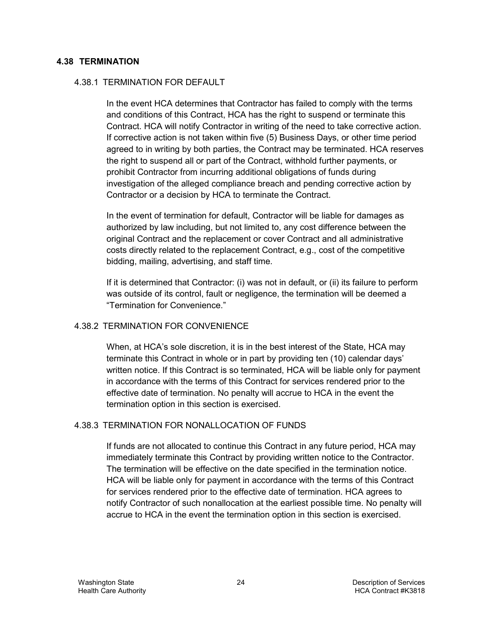#### <span id="page-49-0"></span>**4.38 TERMINATION**

#### 4.38.1 TERMINATION FOR DEFAULT

In the event HCA determines that Contractor has failed to comply with the terms and conditions of this Contract, HCA has the right to suspend or terminate this Contract. HCA will notify Contractor in writing of the need to take corrective action. If corrective action is not taken within five (5) Business Days, or other time period agreed to in writing by both parties, the Contract may be terminated. HCA reserves the right to suspend all or part of the Contract, withhold further payments, or prohibit Contractor from incurring additional obligations of funds during investigation of the alleged compliance breach and pending corrective action by Contractor or a decision by HCA to terminate the Contract.

In the event of termination for default, Contractor will be liable for damages as authorized by law including, but not limited to, any cost difference between the original Contract and the replacement or cover Contract and all administrative costs directly related to the replacement Contract, e.g., cost of the competitive bidding, mailing, advertising, and staff time.

If it is determined that Contractor: (i) was not in default, or (ii) its failure to perform was outside of its control, fault or negligence, the termination will be deemed a "Termination for Convenience."

#### 4.38.2 TERMINATION FOR CONVENIENCE

When, at HCA's sole discretion, it is in the best interest of the State, HCA may terminate this Contract in whole or in part by providing ten (10) calendar days' written notice. If this Contract is so terminated, HCA will be liable only for payment in accordance with the terms of this Contract for services rendered prior to the effective date of termination. No penalty will accrue to HCA in the event the termination option in this section is exercised.

#### <span id="page-49-1"></span>4.38.3 TERMINATION FOR NONALLOCATION OF FUNDS

If funds are not allocated to continue this Contract in any future period, HCA may immediately terminate this Contract by providing written notice to the Contractor. The termination will be effective on the date specified in the termination notice. HCA will be liable only for payment in accordance with the terms of this Contract for services rendered prior to the effective date of termination. HCA agrees to notify Contractor of such nonallocation at the earliest possible time. No penalty will accrue to HCA in the event the termination option in this section is exercised.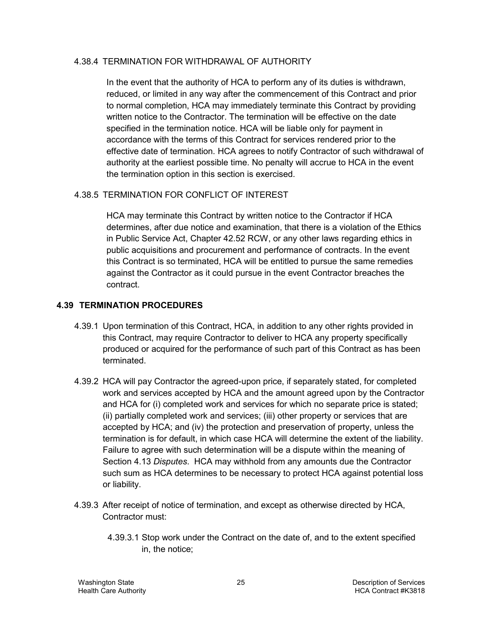#### 4.38.4 TERMINATION FOR WITHDRAWAL OF AUTHORITY

In the event that the authority of HCA to perform any of its duties is withdrawn, reduced, or limited in any way after the commencement of this Contract and prior to normal completion, HCA may immediately terminate this Contract by providing written notice to the Contractor. The termination will be effective on the date specified in the termination notice. HCA will be liable only for payment in accordance with the terms of this Contract for services rendered prior to the effective date of termination. HCA agrees to notify Contractor of such withdrawal of authority at the earliest possible time. No penalty will accrue to HCA in the event the termination option in this section is exercised.

#### 4.38.5 TERMINATION FOR CONFLICT OF INTEREST

HCA may terminate this Contract by written notice to the Contractor if HCA determines, after due notice and examination, that there is a violation of the Ethics in Public Service Act, Chapter 42.52 RCW, or any other laws regarding ethics in public acquisitions and procurement and performance of contracts. In the event this Contract is so terminated, HCA will be entitled to pursue the same remedies against the Contractor as it could pursue in the event Contractor breaches the contract.

#### <span id="page-50-0"></span>**4.39 TERMINATION PROCEDURES**

- 4.39.1 Upon termination of this Contract, HCA, in addition to any other rights provided in this Contract, may require Contractor to deliver to HCA any property specifically produced or acquired for the performance of such part of this Contract as has been terminated.
- 4.39.2 HCA will pay Contractor the agreed-upon price, if separately stated, for completed work and services accepted by HCA and the amount agreed upon by the Contractor and HCA for (i) completed work and services for which no separate price is stated; (ii) partially completed work and services; (iii) other property or services that are accepted by HCA; and (iv) the protection and preservation of property, unless the termination is for default, in which case HCA will determine the extent of the liability. Failure to agree with such determination will be a dispute within the meaning of Section [4.13](#page-40-2) *Disputes*. HCA may withhold from any amounts due the Contractor such sum as HCA determines to be necessary to protect HCA against potential loss or liability.
- 4.39.3 After receipt of notice of termination, and except as otherwise directed by HCA, Contractor must:
	- 4.39.3.1 Stop work under the Contract on the date of, and to the extent specified in, the notice;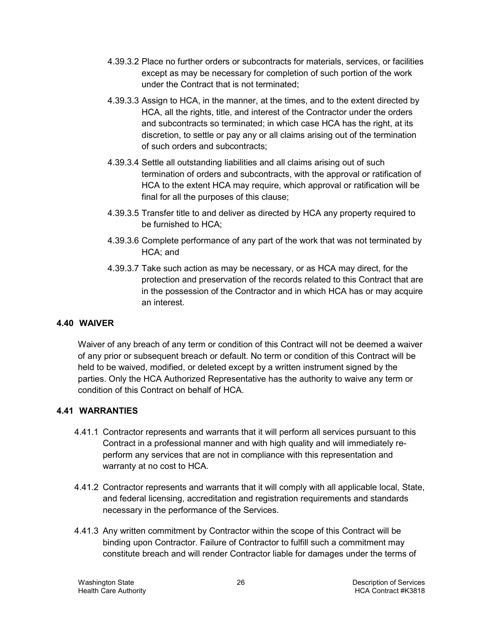- 4.39.3.2 Place no further orders or subcontracts for materials, services, or facilities except as may be necessary for completion of such portion of the work under the Contract that is not terminated;
- 4.39.3.3 Assign to HCA, in the manner, at the times, and to the extent directed by HCA, all the rights, title, and interest of the Contractor under the orders and subcontracts so terminated; in which case HCA has the right, at its discretion, to settle or pay any or all claims arising out of the termination of such orders and subcontracts;
- 4.39.3.4 Settle all outstanding liabilities and all claims arising out of such termination of orders and subcontracts, with the approval or ratification of HCA to the extent HCA may require, which approval or ratification will be final for all the purposes of this clause;
- 4.39.3.5 Transfer title to and deliver as directed by HCA any property required to be furnished to HCA;
- 4.39.3.6 Complete performance of any part of the work that was not terminated by HCA; and
- 4.39.3.7 Take such action as may be necessary, or as HCA may direct, for the protection and preservation of the records related to this Contract that are in the possession of the Contractor and in which HCA has or may acquire an interest.

#### <span id="page-51-0"></span>**4.40 WAIVER**

Waiver of any breach of any term or condition of this Contract will not be deemed a waiver of any prior or subsequent breach or default. No term or condition of this Contract will be held to be waived, modified, or deleted except by a written instrument signed by the parties. Only the HCA Authorized Representative has the authority to waive any term or condition of this Contract on behalf of HCA.

# <span id="page-51-1"></span>**4.41 WARRANTIES**

- 4.41.1 Contractor represents and warrants that it will perform all services pursuant to this Contract in a professional manner and with high quality and will immediately reperform any services that are not in compliance with this representation and warranty at no cost to HCA.
- 4.41.2 Contractor represents and warrants that it will comply with all applicable local, State, and federal licensing, accreditation and registration requirements and standards necessary in the performance of the Services.
- 4.41.3 Any written commitment by Contractor within the scope of this Contract will be binding upon Contractor. Failure of Contractor to fulfill such a commitment may constitute breach and will render Contractor liable for damages under the terms of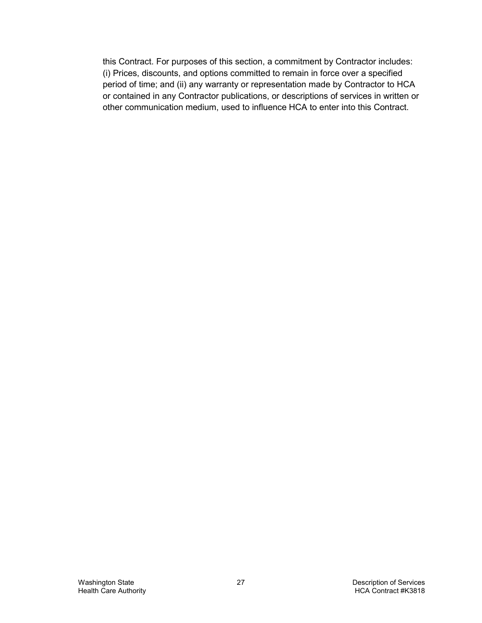this Contract. For purposes of this section, a commitment by Contractor includes: (i) Prices, discounts, and options committed to remain in force over a specified period of time; and (ii) any warranty or representation made by Contractor to HCA or contained in any Contractor publications, or descriptions of services in written or other communication medium, used to influence HCA to enter into this Contract.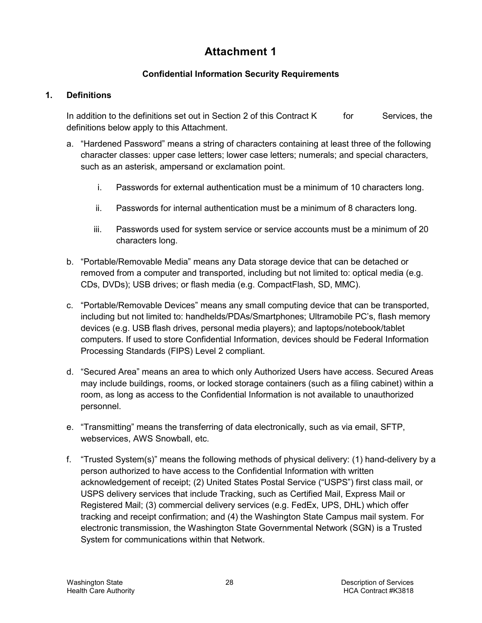# **Attachment 1**

# **Confidential Information Security Requirements**

#### **1. Definitions**

In addition to the definitions set out in Section [2](#page-29-2) of this Contract  $K$  for Services, the definitions below apply to this Attachment.

- a. "Hardened Password" means a string of characters containing at least three of the following character classes: upper case letters; lower case letters; numerals; and special characters, such as an asterisk, ampersand or exclamation point.
	- i. Passwords for external authentication must be a minimum of 10 characters long.
	- ii. Passwords for internal authentication must be a minimum of 8 characters long.
	- iii. Passwords used for system service or service accounts must be a minimum of 20 characters long.
- b. "Portable/Removable Media" means any Data storage device that can be detached or removed from a computer and transported, including but not limited to: optical media (e.g. CDs, DVDs); USB drives; or flash media (e.g. CompactFlash, SD, MMC).
- c. "Portable/Removable Devices" means any small computing device that can be transported, including but not limited to: handhelds/PDAs/Smartphones; Ultramobile PC's, flash memory devices (e.g. USB flash drives, personal media players); and laptops/notebook/tablet computers. If used to store Confidential Information, devices should be Federal Information Processing Standards (FIPS) Level 2 compliant.
- d. "Secured Area" means an area to which only Authorized Users have access. Secured Areas may include buildings, rooms, or locked storage containers (such as a filing cabinet) within a room, as long as access to the Confidential Information is not available to unauthorized personnel.
- e. "Transmitting" means the transferring of data electronically, such as via email, SFTP, webservices, AWS Snowball, etc.
- f. "Trusted System(s)" means the following methods of physical delivery: (1) hand-delivery by a person authorized to have access to the Confidential Information with written acknowledgement of receipt; (2) United States Postal Service ("USPS") first class mail, or USPS delivery services that include Tracking, such as Certified Mail, Express Mail or Registered Mail; (3) commercial delivery services (e.g. FedEx, UPS, DHL) which offer tracking and receipt confirmation; and (4) the Washington State Campus mail system. For electronic transmission, the Washington State Governmental Network (SGN) is a Trusted System for communications within that Network.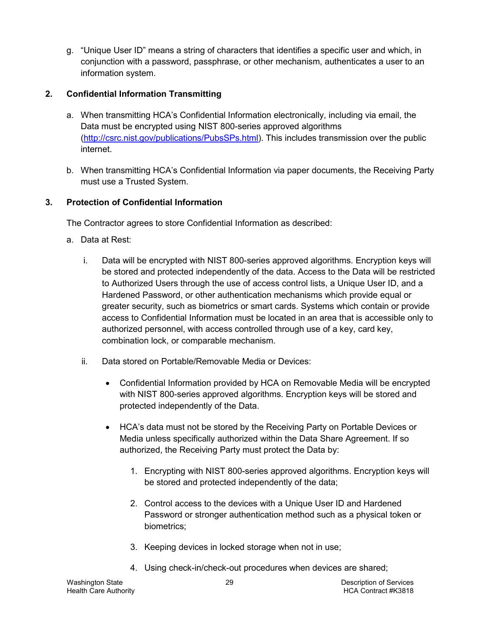g. "Unique User ID" means a string of characters that identifies a specific user and which, in conjunction with a password, passphrase, or other mechanism, authenticates a user to an information system.

## **2. Confidential Information Transmitting**

- a. When transmitting HCA's Confidential Information electronically, including via email, the Data must be encrypted using NIST 800-series approved algorithms [\(http://csrc.nist.gov/publications/PubsSPs.html\)](http://csrc.nist.gov/publications/PubsSPs.html). This includes transmission over the public internet.
- b. When transmitting HCA's Confidential Information via paper documents, the Receiving Party must use a Trusted System.

## <span id="page-54-0"></span>**3. Protection of Confidential Information**

The Contractor agrees to store Confidential Information as described:

- a. Data at Rest:
	- i. Data will be encrypted with NIST 800-series approved algorithms. Encryption keys will be stored and protected independently of the data. Access to the Data will be restricted to Authorized Users through the use of access control lists, a Unique User ID, and a Hardened Password, or other authentication mechanisms which provide equal or greater security, such as biometrics or smart cards. Systems which contain or provide access to Confidential Information must be located in an area that is accessible only to authorized personnel, with access controlled through use of a key, card key, combination lock, or comparable mechanism.
	- ii. Data stored on Portable/Removable Media or Devices:
		- Confidential Information provided by HCA on Removable Media will be encrypted with NIST 800-series approved algorithms. Encryption keys will be stored and protected independently of the Data.
		- HCA's data must not be stored by the Receiving Party on Portable Devices or Media unless specifically authorized within the Data Share Agreement. If so authorized, the Receiving Party must protect the Data by:
			- 1. Encrypting with NIST 800-series approved algorithms. Encryption keys will be stored and protected independently of the data;
			- 2. Control access to the devices with a Unique User ID and Hardened Password or stronger authentication method such as a physical token or biometrics;
			- 3. Keeping devices in locked storage when not in use;
			- 4. Using check-in/check-out procedures when devices are shared;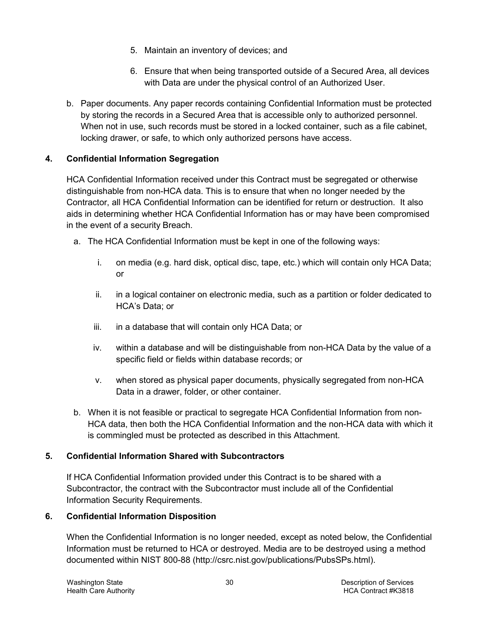- 5. Maintain an inventory of devices; and
- 6. Ensure that when being transported outside of a Secured Area, all devices with Data are under the physical control of an Authorized User.
- b. Paper documents. Any paper records containing Confidential Information must be protected by storing the records in a Secured Area that is accessible only to authorized personnel. When not in use, such records must be stored in a locked container, such as a file cabinet, locking drawer, or safe, to which only authorized persons have access.

## **4. Confidential Information Segregation**

HCA Confidential Information received under this Contract must be segregated or otherwise distinguishable from non-HCA data. This is to ensure that when no longer needed by the Contractor, all HCA Confidential Information can be identified for return or destruction. It also aids in determining whether HCA Confidential Information has or may have been compromised in the event of a security Breach.

- a. The HCA Confidential Information must be kept in one of the following ways:
	- i. on media (e.g. hard disk, optical disc, tape, etc.) which will contain only HCA Data; or
	- ii. in a logical container on electronic media, such as a partition or folder dedicated to HCA's Data; or
	- iii. in a database that will contain only HCA Data; or
	- iv. within a database and will be distinguishable from non-HCA Data by the value of a specific field or fields within database records; or
	- v. when stored as physical paper documents, physically segregated from non-HCA Data in a drawer, folder, or other container.
- b. When it is not feasible or practical to segregate HCA Confidential Information from non-HCA data, then both the HCA Confidential Information and the non-HCA data with which it is commingled must be protected as described in this Attachment.

# **5. Confidential Information Shared with Subcontractors**

If HCA Confidential Information provided under this Contract is to be shared with a Subcontractor, the contract with the Subcontractor must include all of the Confidential Information Security Requirements.

#### **6. Confidential Information Disposition**

When the Confidential Information is no longer needed, except as noted below, the Confidential Information must be returned to HCA or destroyed. Media are to be destroyed using a method documented within NIST 800-88 [\(http://csrc.nist.gov/publications/PubsSPs.html\)](http://csrc.nist.gov/publications/PubsSPs.html).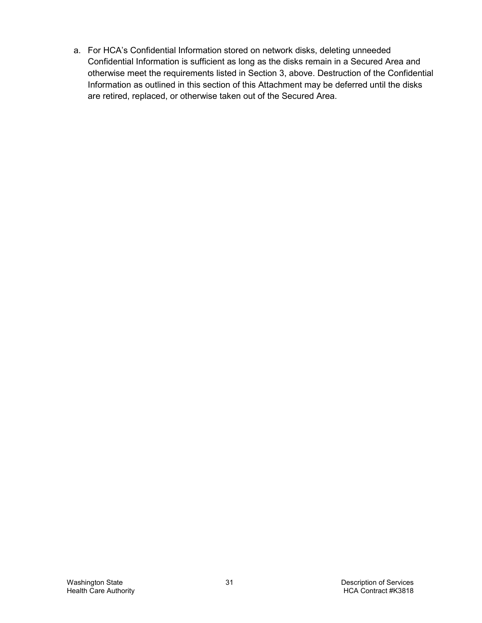a. For HCA's Confidential Information stored on network disks, deleting unneeded Confidential Information is sufficient as long as the disks remain in a Secured Area and otherwise meet the requirements listed in Section [3,](#page-54-0) above. Destruction of the Confidential Information as outlined in this section of this Attachment may be deferred until the disks are retired, replaced, or otherwise taken out of the Secured Area.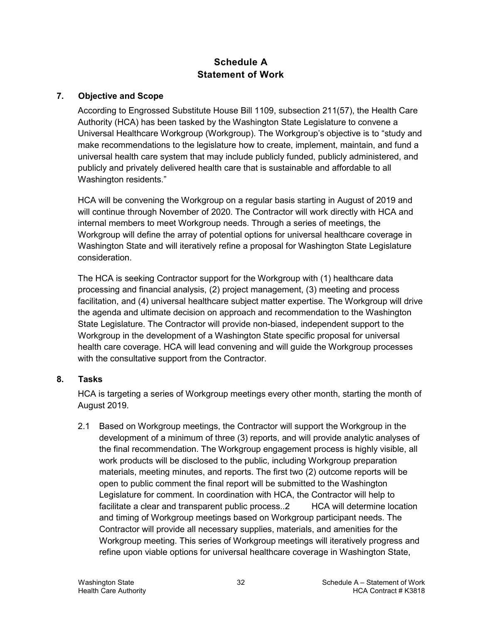# **Schedule A Statement of Work**

#### **7. Objective and Scope**

According to Engrossed Substitute House Bill 1109, subsection 211(57), the Health Care Authority (HCA) has been tasked by the Washington State Legislature to convene a Universal Healthcare Workgroup (Workgroup). The Workgroup's objective is to "study and make recommendations to the legislature how to create, implement, maintain, and fund a universal health care system that may include publicly funded, publicly administered, and publicly and privately delivered health care that is sustainable and affordable to all Washington residents."

HCA will be convening the Workgroup on a regular basis starting in August of 2019 and will continue through November of 2020. The Contractor will work directly with HCA and internal members to meet Workgroup needs. Through a series of meetings, the Workgroup will define the array of potential options for universal healthcare coverage in Washington State and will iteratively refine a proposal for Washington State Legislature consideration.

The HCA is seeking Contractor support for the Workgroup with (1) healthcare data processing and financial analysis, (2) project management, (3) meeting and process facilitation, and (4) universal healthcare subject matter expertise. The Workgroup will drive the agenda and ultimate decision on approach and recommendation to the Washington State Legislature. The Contractor will provide non-biased, independent support to the Workgroup in the development of a Washington State specific proposal for universal health care coverage. HCA will lead convening and will guide the Workgroup processes with the consultative support from the Contractor.

#### **8. Tasks**

HCA is targeting a series of Workgroup meetings every other month, starting the month of August 2019.

2.1 Based on Workgroup meetings, the Contractor will support the Workgroup in the development of a minimum of three (3) reports, and will provide analytic analyses of the final recommendation. The Workgroup engagement process is highly visible, all work products will be disclosed to the public, including Workgroup preparation materials, meeting minutes, and reports. The first two (2) outcome reports will be open to public comment the final report will be submitted to the Washington Legislature for comment. In coordination with HCA, the Contractor will help to facilitate a clear and transparent public process..2 HCA will determine location and timing of Workgroup meetings based on Workgroup participant needs. The Contractor will provide all necessary supplies, materials, and amenities for the Workgroup meeting. This series of Workgroup meetings will iteratively progress and refine upon viable options for universal healthcare coverage in Washington State,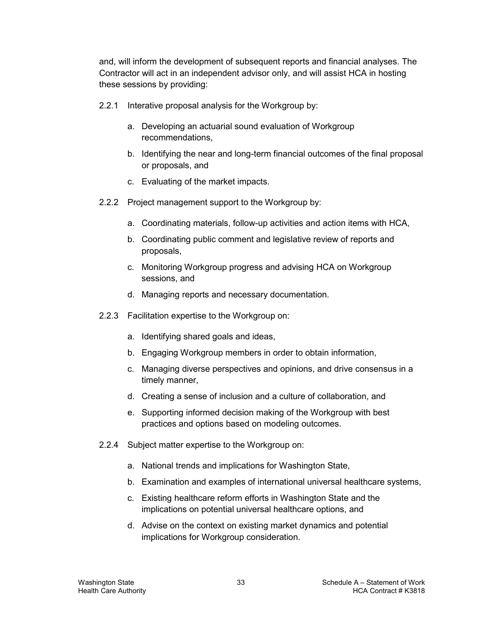and, will inform the development of subsequent reports and financial analyses. The Contractor will act in an independent advisor only, and will assist HCA in hosting these sessions by providing:

- 2.2.1 Interative proposal analysis for the Workgroup by:
	- a. Developing an actuarial sound evaluation of Workgroup recommendations,
	- b. Identifying the near and long-term financial outcomes of the final proposal or proposals, and
	- c. Evaluating of the market impacts.
- 2.2.2 Project management support to the Workgroup by:
	- a. Coordinating materials, follow-up activities and action items with HCA,
	- b. Coordinating public comment and legislative review of reports and proposals,
	- c. Monitoring Workgroup progress and advising HCA on Workgroup sessions, and
	- d. Managing reports and necessary documentation.
- 2.2.3 Facilitation expertise to the Workgroup on:
	- a. Identifying shared goals and ideas,
	- b. Engaging Workgroup members in order to obtain information,
	- c. Managing diverse perspectives and opinions, and drive consensus in a timely manner,
	- d. Creating a sense of inclusion and a culture of collaboration, and
	- e. Supporting informed decision making of the Workgroup with best practices and options based on modeling outcomes.
- 2.2.4 Subject matter expertise to the Workgroup on:
	- a. National trends and implications for Washington State,
	- b. Examination and examples of international universal healthcare systems,
	- c. Existing healthcare reform efforts in Washington State and the implications on potential universal healthcare options, and
	- d. Advise on the context on existing market dynamics and potential implications for Workgroup consideration.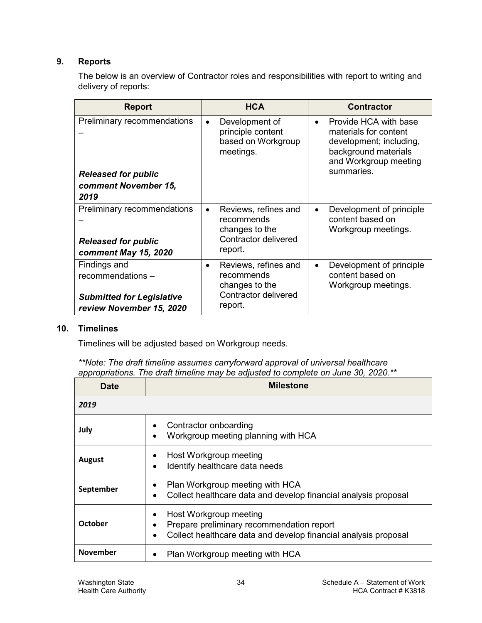## **9. Reports**

The below is an overview of Contractor roles and responsibilities with report to writing and delivery of reports:

| <b>Report</b>                    |           | <b>HCA</b>                                                             |           | <b>Contractor</b>                                                                                                          |  |  |
|----------------------------------|-----------|------------------------------------------------------------------------|-----------|----------------------------------------------------------------------------------------------------------------------------|--|--|
| Preliminary recommendations      | $\bullet$ | Development of<br>principle content<br>based on Workgroup<br>meetings. | $\bullet$ | Provide HCA with base<br>materials for content<br>development; including,<br>background materials<br>and Workgroup meeting |  |  |
| <b>Released for public</b>       |           |                                                                        |           | summaries.                                                                                                                 |  |  |
| comment November 15,             |           |                                                                        |           |                                                                                                                            |  |  |
| 2019                             |           |                                                                        |           |                                                                                                                            |  |  |
| Preliminary recommendations      | $\bullet$ | Reviews, refines and<br>recommends<br>changes to the                   | $\bullet$ | Development of principle<br>content based on<br>Workgroup meetings.                                                        |  |  |
| <b>Released for public</b>       |           | Contractor delivered                                                   |           |                                                                                                                            |  |  |
| comment May 15, 2020             |           | report.                                                                |           |                                                                                                                            |  |  |
| Findings and                     | $\bullet$ | Reviews, refines and                                                   | $\bullet$ | Development of principle                                                                                                   |  |  |
| recommendations -                |           | recommends<br>changes to the                                           |           | content based on<br>Workgroup meetings.                                                                                    |  |  |
| <b>Submitted for Legislative</b> |           | Contractor delivered                                                   |           |                                                                                                                            |  |  |
| review November 15, 2020         |           | report.                                                                |           |                                                                                                                            |  |  |

#### **10. Timelines**

Timelines will be adjusted based on Workgroup needs.

| **Note: The draft timeline assumes carryforward approval of universal healthcare   |  |  |  |
|------------------------------------------------------------------------------------|--|--|--|
| appropriations. The draft timeline may be adjusted to complete on June 30, 2020.** |  |  |  |

| <b>Date</b>     | <b>Milestone</b>                                                                                                                       |  |  |
|-----------------|----------------------------------------------------------------------------------------------------------------------------------------|--|--|
| 2019            |                                                                                                                                        |  |  |
| July            | Contractor onboarding<br>Workgroup meeting planning with HCA                                                                           |  |  |
| <b>August</b>   | Host Workgroup meeting<br>Identify healthcare data needs                                                                               |  |  |
| September       | Plan Workgroup meeting with HCA<br>Collect healthcare data and develop financial analysis proposal                                     |  |  |
| October         | Host Workgroup meeting<br>Prepare preliminary recommendation report<br>Collect healthcare data and develop financial analysis proposal |  |  |
| <b>November</b> | Plan Workgroup meeting with HCA                                                                                                        |  |  |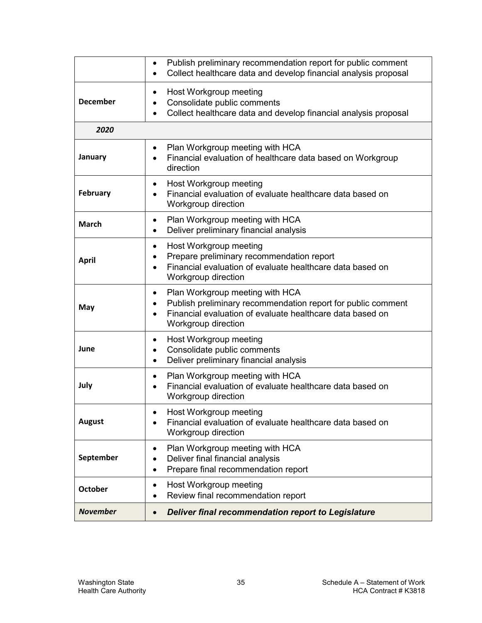|                 | Publish preliminary recommendation report for public comment<br>$\bullet$<br>Collect healthcare data and develop financial analysis proposal<br>$\bullet$                                |
|-----------------|------------------------------------------------------------------------------------------------------------------------------------------------------------------------------------------|
| <b>December</b> | Host Workgroup meeting<br>Consolidate public comments<br>Collect healthcare data and develop financial analysis proposal                                                                 |
| 2020            |                                                                                                                                                                                          |
| January         | Plan Workgroup meeting with HCA<br>$\bullet$<br>Financial evaluation of healthcare data based on Workgroup<br>direction                                                                  |
| <b>February</b> | Host Workgroup meeting<br>Financial evaluation of evaluate healthcare data based on<br>Workgroup direction                                                                               |
| <b>March</b>    | Plan Workgroup meeting with HCA<br>$\bullet$<br>Deliver preliminary financial analysis<br>$\bullet$                                                                                      |
| <b>April</b>    | Host Workgroup meeting<br>٠<br>Prepare preliminary recommendation report<br>Financial evaluation of evaluate healthcare data based on<br>Workgroup direction                             |
| May             | Plan Workgroup meeting with HCA<br>٠<br>Publish preliminary recommendation report for public comment<br>Financial evaluation of evaluate healthcare data based on<br>Workgroup direction |
| June            | Host Workgroup meeting<br>٠<br>Consolidate public comments<br>٠<br>Deliver preliminary financial analysis<br>$\bullet$                                                                   |
| July            | Plan Workgroup meeting with HCA<br>$\bullet$<br>Financial evaluation of evaluate healthcare data based on<br>Workgroup direction                                                         |
| <b>August</b>   | Host Workgroup meeting<br>Financial evaluation of evaluate healthcare data based on<br>Workgroup direction                                                                               |
| September       | Plan Workgroup meeting with HCA<br>Deliver final financial analysis<br>Prepare final recommendation report<br>$\bullet$                                                                  |
| <b>October</b>  | Host Workgroup meeting<br>Review final recommendation report                                                                                                                             |
| <b>November</b> | <b>Deliver final recommendation report to Legislature</b>                                                                                                                                |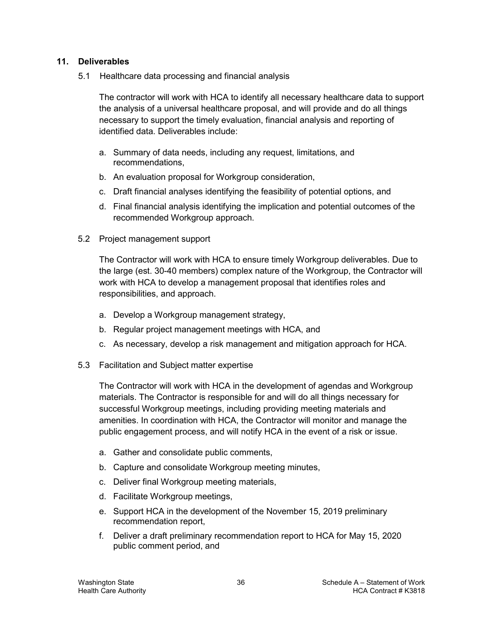#### **11. Deliverables**

5.1 Healthcare data processing and financial analysis

The contractor will work with HCA to identify all necessary healthcare data to support the analysis of a universal healthcare proposal, and will provide and do all things necessary to support the timely evaluation, financial analysis and reporting of identified data. Deliverables include:

- a. Summary of data needs, including any request, limitations, and recommendations,
- b. An evaluation proposal for Workgroup consideration,
- c. Draft financial analyses identifying the feasibility of potential options, and
- d. Final financial analysis identifying the implication and potential outcomes of the recommended Workgroup approach.
- 5.2 Project management support

The Contractor will work with HCA to ensure timely Workgroup deliverables. Due to the large (est. 30-40 members) complex nature of the Workgroup, the Contractor will work with HCA to develop a management proposal that identifies roles and responsibilities, and approach.

- a. Develop a Workgroup management strategy,
- b. Regular project management meetings with HCA, and
- c. As necessary, develop a risk management and mitigation approach for HCA.
- 5.3 Facilitation and Subject matter expertise

The Contractor will work with HCA in the development of agendas and Workgroup materials. The Contractor is responsible for and will do all things necessary for successful Workgroup meetings, including providing meeting materials and amenities. In coordination with HCA, the Contractor will monitor and manage the public engagement process, and will notify HCA in the event of a risk or issue.

- a. Gather and consolidate public comments,
- b. Capture and consolidate Workgroup meeting minutes,
- c. Deliver final Workgroup meeting materials,
- d. Facilitate Workgroup meetings,
- e. Support HCA in the development of the November 15, 2019 preliminary recommendation report,
- f. Deliver a draft preliminary recommendation report to HCA for May 15, 2020 public comment period, and